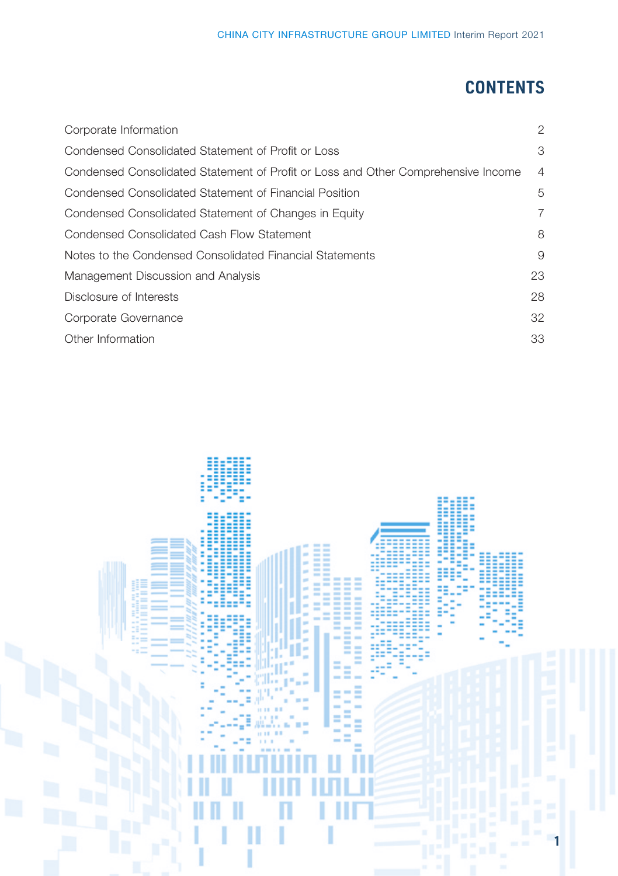# **CONTENTS**

| Corporate Information                                                             | 2              |
|-----------------------------------------------------------------------------------|----------------|
| Condensed Consolidated Statement of Profit or Loss                                | 3              |
| Condensed Consolidated Statement of Profit or Loss and Other Comprehensive Income | $\overline{4}$ |
| Condensed Consolidated Statement of Financial Position                            | 5              |
| Condensed Consolidated Statement of Changes in Equity                             | 7              |
| Condensed Consolidated Cash Flow Statement                                        | 8              |
| Notes to the Condensed Consolidated Financial Statements                          | 9              |
| Management Discussion and Analysis                                                | 23             |
| Disclosure of Interests                                                           | 28             |
| Corporate Governance                                                              | 32             |
| Other Information                                                                 | 33             |
|                                                                                   |                |

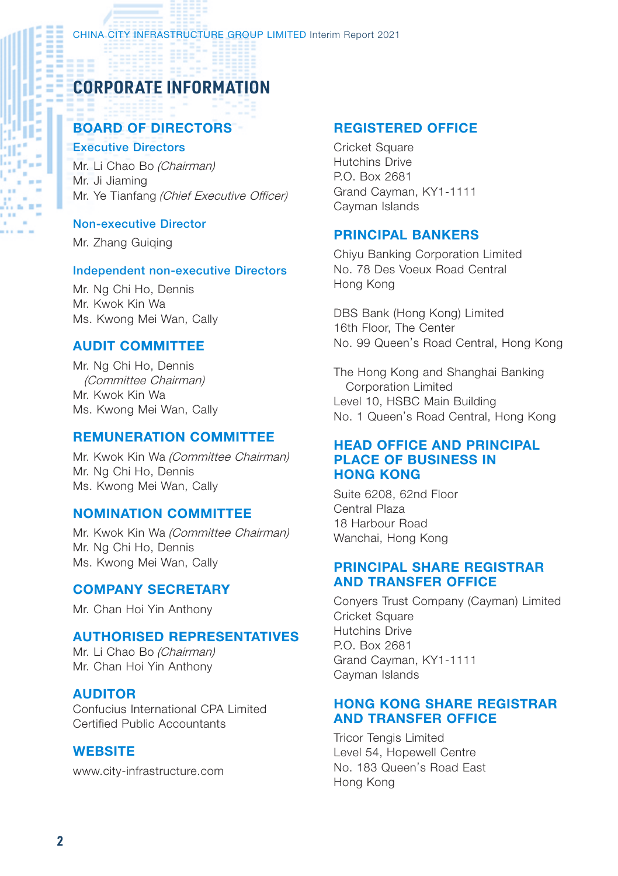# **CORPORATE INFORMATION CORPORATE INFORMATION**

# BOARD OF DIRECTORS

#### Executive Directors

Mr. Li Chao Bo (Chairman) Mr. Ji Jiaming Mr. Ye Tianfang (Chief Executive Officer)

#### Non-executive Director

Mr. Zhang Guiging

#### Independent non-executive Directors

Mr. Ng Chi Ho, Dennis Mr. Kwok Kin Wa Ms. Kwong Mei Wan, Cally

### AUDIT COMMITTEE

Mr. Ng Chi Ho, Dennis (Committee Chairman) Mr. Kwok Kin Wa Ms. Kwong Mei Wan, Cally

### REMUNERATION COMMITTEE

Mr. Kwok Kin Wa (Committee Chairman) Mr. Ng Chi Ho, Dennis Ms. Kwong Mei Wan, Cally

### NOMINATION COMMITTEE

Mr. Kwok Kin Wa (Committee Chairman) Mr. Ng Chi Ho, Dennis Ms. Kwong Mei Wan, Cally

### COMPANY SECRETARY

Mr. Chan Hoi Yin Anthony

### AUTHORISED REPRESENTATIVES

Mr. Li Chao Bo (Chairman) Mr. Chan Hoi Yin Anthony

### AUDITOR

Confucius International CPA Limited Certified Public Accountants

### **WEBSITE**

www.city-infrastructure.com

### REGISTERED OFFICE

Cricket Square Hutchins Drive P.O. Box 2681 Grand Cayman, KY1-1111 Cayman Islands

### PRINCIPAL BANKERS

Chiyu Banking Corporation Limited No. 78 Des Voeux Road Central Hong Kong

DBS Bank (Hong Kong) Limited 16th Floor, The Center No. 99 Queen's Road Central, Hong Kong

The Hong Kong and Shanghai Banking Corporation Limited Level 10, HSBC Main Building No. 1 Queen's Road Central, Hong Kong

#### HEAD OFFICE AND PRINCIPAL PLACE OF BUSINESS IN HONG KONG

Suite 6208, 62nd Floor Central Plaza 18 Harbour Road Wanchai, Hong Kong

### PRINCIPAL SHARE REGISTRAR AND TRANSFER OFFICE

Conyers Trust Company (Cayman) Limited Cricket Square Hutchins Drive P.O. Box 2681 Grand Cayman, KY1-1111 Cayman Islands

# HONG KONG SHARE REGISTRAR AND TRANSFER OFFICE

Tricor Tengis Limited Level 54, Hopewell Centre No. 183 Queen's Road East Hong Kong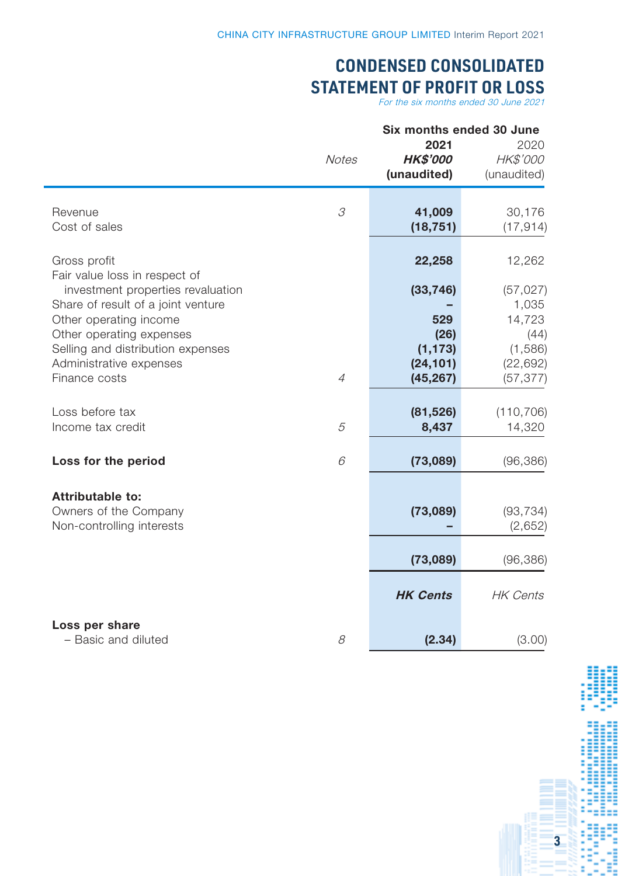# **CONDENSED CONSOLIDATED STATEMENT OF PROFIT OR LOSS**

For the six months ended 30 June 2021

|                                               |                | Six months ended 30 June               |                                 |  |  |
|-----------------------------------------------|----------------|----------------------------------------|---------------------------------|--|--|
|                                               | <b>Notes</b>   | 2021<br><b>HK\$'000</b><br>(unaudited) | 2020<br>HK\$'000<br>(unaudited) |  |  |
|                                               |                |                                        |                                 |  |  |
| Revenue                                       | 3              | 41,009                                 | 30,176                          |  |  |
| Cost of sales                                 |                | (18, 751)                              | (17, 914)                       |  |  |
|                                               |                |                                        |                                 |  |  |
| Gross profit<br>Fair value loss in respect of |                | 22,258                                 | 12,262                          |  |  |
| investment properties revaluation             |                | (33, 746)                              | (57, 027)                       |  |  |
| Share of result of a joint venture            |                |                                        | 1,035                           |  |  |
| Other operating income                        |                | 529                                    | 14,723                          |  |  |
| Other operating expenses                      |                | (26)                                   | (44)                            |  |  |
| Selling and distribution expenses             |                | (1, 173)                               | (1,586)                         |  |  |
| Administrative expenses<br>Finance costs      | $\overline{4}$ | (24, 101)                              | (22, 692)                       |  |  |
|                                               |                | (45, 267)                              | (57, 377)                       |  |  |
| Loss before tax                               |                | (81, 526)                              | (110, 706)                      |  |  |
| Income tax credit                             | 5              | 8,437                                  | 14,320                          |  |  |
|                                               |                |                                        |                                 |  |  |
| Loss for the period                           | 6              | (73,089)                               | (96, 386)                       |  |  |
| Attributable to:                              |                |                                        |                                 |  |  |
| Owners of the Company                         |                | (73,089)                               | (93, 734)                       |  |  |
| Non-controlling interests                     |                |                                        | (2,652)                         |  |  |
|                                               |                |                                        |                                 |  |  |
|                                               |                | (73,089)                               | (96, 386)                       |  |  |
|                                               |                |                                        |                                 |  |  |
|                                               |                | <b>HK Cents</b>                        | <b>HK Cents</b>                 |  |  |
| Loss per share                                |                |                                        |                                 |  |  |
| - Basic and diluted                           | 8              | (2.34)                                 | (3.00)                          |  |  |

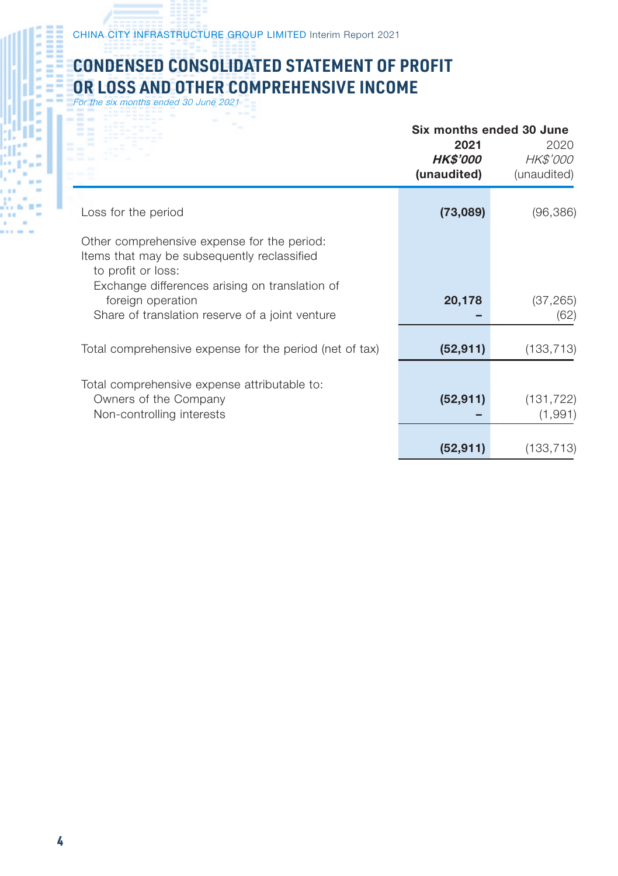# H **CONDENSED CONSOLIDATED STATEMENT OF PROFIT**

| OR LOSS AND OTHER COMPREHENSIVE INCOME<br>For the six months ended 30 June 2021                                                                                                                                                            |                                        |                                                             |
|--------------------------------------------------------------------------------------------------------------------------------------------------------------------------------------------------------------------------------------------|----------------------------------------|-------------------------------------------------------------|
|                                                                                                                                                                                                                                            | 2021<br><b>HK\$'000</b><br>(unaudited) | Six months ended 30 June<br>2020<br>HK\$'000<br>(unaudited) |
| Loss for the period                                                                                                                                                                                                                        | (73,089)                               | (96, 386)                                                   |
| Other comprehensive expense for the period:<br>Items that may be subsequently reclassified<br>to profit or loss:<br>Exchange differences arising on translation of<br>foreign operation<br>Share of translation reserve of a joint venture | 20,178                                 | (37, 265)<br>(62)                                           |
| Total comprehensive expense for the period (net of tax)                                                                                                                                                                                    | (52, 911)                              | (133, 713)                                                  |
| Total comprehensive expense attributable to:<br>Owners of the Company<br>Non-controlling interests                                                                                                                                         | (52, 911)                              | (131, 722)<br>(1,991)                                       |
|                                                                                                                                                                                                                                            | (52, 911)                              | (133, 713)                                                  |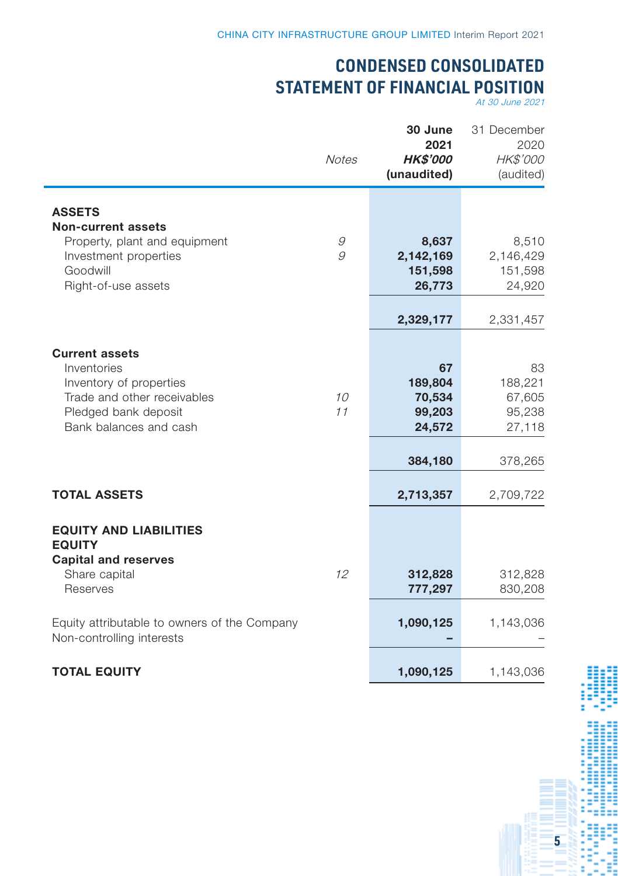# **CONDENSED CONSOLIDATED STATEMENT OF FINANCIAL POSITION**

At 30 June 2021

|                                                                                                                                                  | <b>Notes</b>      | 30 June<br>2021<br><b>HK\$'000</b><br>(unaudited) | 31 December<br>2020<br><b>HK\$'000</b><br>(audited) |
|--------------------------------------------------------------------------------------------------------------------------------------------------|-------------------|---------------------------------------------------|-----------------------------------------------------|
| <b>ASSETS</b>                                                                                                                                    |                   |                                                   |                                                     |
| <b>Non-current assets</b><br>Property, plant and equipment<br>Investment properties<br>Goodwill<br>Right-of-use assets                           | $\mathcal G$<br>9 | 8,637<br>2,142,169<br>151,598<br>26,773           | 8,510<br>2,146,429<br>151,598<br>24,920             |
|                                                                                                                                                  |                   | 2,329,177                                         | 2,331,457                                           |
| <b>Current assets</b><br>Inventories<br>Inventory of properties<br>Trade and other receivables<br>Pledged bank deposit<br>Bank balances and cash | 10<br>11          | 67<br>189,804<br>70,534<br>99,203<br>24,572       | 83<br>188,221<br>67,605<br>95,238<br>27,118         |
|                                                                                                                                                  |                   | 384,180                                           | 378,265                                             |
| <b>TOTAL ASSETS</b>                                                                                                                              |                   | 2,713,357                                         | 2,709,722                                           |
| <b>EQUITY AND LIABILITIES</b><br><b>EQUITY</b><br><b>Capital and reserves</b><br>Share capital<br>Reserves                                       | 12                | 312,828<br>777,297                                | 312,828<br>830,208                                  |
| Equity attributable to owners of the Company<br>Non-controlling interests                                                                        |                   | 1,090,125                                         | 1,143,036                                           |
| <b>TOTAL EQUITY</b>                                                                                                                              |                   | 1,090,125                                         | 1,143,036                                           |

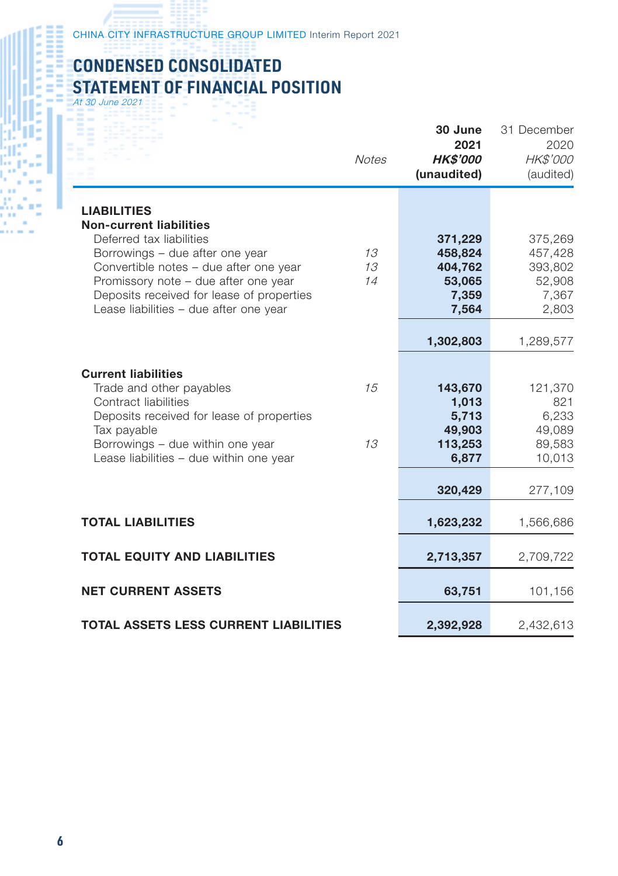# **CONDENSED CONSOLIDATED STATEMENT OF FINANCIAL POSITION** At 30 June 2021

|                                                                                                                                                                                                                                                                                              | <b>Notes</b>   | 30 June<br>2021<br><b>HK\$'000</b><br>(unaudited)         | 31 December<br>2020<br>HK\$'000<br>(audited)              |
|----------------------------------------------------------------------------------------------------------------------------------------------------------------------------------------------------------------------------------------------------------------------------------------------|----------------|-----------------------------------------------------------|-----------------------------------------------------------|
| <b>LIABILITIES</b><br><b>Non-current liabilities</b><br>Deferred tax liabilities<br>Borrowings - due after one year<br>Convertible notes - due after one year<br>Promissory note - due after one year<br>Deposits received for lease of properties<br>Lease liabilities - due after one year | 13<br>13<br>14 | 371,229<br>458,824<br>404,762<br>53,065<br>7,359<br>7,564 | 375,269<br>457,428<br>393,802<br>52,908<br>7,367<br>2,803 |
|                                                                                                                                                                                                                                                                                              |                | 1,302,803                                                 | 1,289,577                                                 |
| <b>Current liabilities</b><br>Trade and other payables<br>Contract liabilities<br>Deposits received for lease of properties<br>Tax payable<br>Borrowings - due within one year<br>Lease liabilities - due within one year                                                                    | 15<br>13       | 143,670<br>1,013<br>5,713<br>49,903<br>113,253<br>6,877   | 121,370<br>821<br>6,233<br>49,089<br>89,583<br>10,013     |
|                                                                                                                                                                                                                                                                                              |                | 320,429                                                   | 277,109                                                   |
| <b>TOTAL LIABILITIES</b>                                                                                                                                                                                                                                                                     |                | 1,623,232                                                 | 1,566,686                                                 |
| <b>TOTAL EQUITY AND LIABILITIES</b>                                                                                                                                                                                                                                                          |                | 2,713,357                                                 | 2,709,722                                                 |
| <b>NET CURRENT ASSETS</b>                                                                                                                                                                                                                                                                    |                | 63,751                                                    | 101,156                                                   |
| <b>TOTAL ASSETS LESS CURRENT LIABILITIES</b>                                                                                                                                                                                                                                                 |                | 2,392,928                                                 | 2,432,613                                                 |

W)

H ....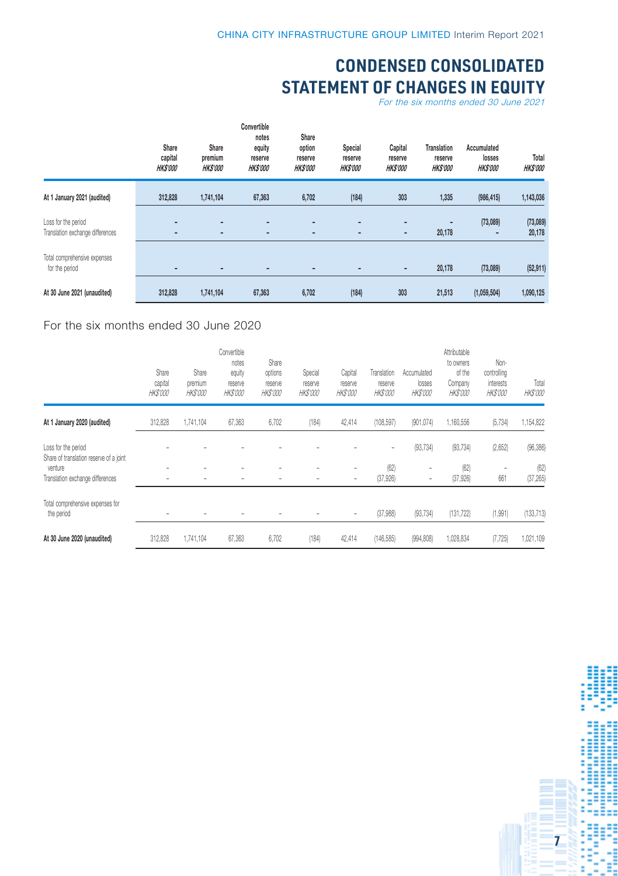# **CONDENSED CONSOLIDATED STATEMENT OF CHANGES IN EQUITY**

For the six months ended 30 June 2021

|                                                         | Share<br>capital<br><b>HK\$'000</b>        | Share<br>premium<br><b>HKS'000</b> | Convertible<br>notes<br>equity<br>reserve<br><b>HKS'000</b> | Share<br>option<br>reserve<br><b>HKS'000</b> | Special<br>reserve<br><b>HKS'000</b> | Capital<br>reserve<br><b>HKS'000</b> | <b>Translation</b><br>reserve<br><b>HK\$'000</b> | Accumulated<br>losses<br><b>HK\$'000</b> | Total<br><b>HKS'000</b> |
|---------------------------------------------------------|--------------------------------------------|------------------------------------|-------------------------------------------------------------|----------------------------------------------|--------------------------------------|--------------------------------------|--------------------------------------------------|------------------------------------------|-------------------------|
| At 1 January 2021 (audited)                             | 312,828                                    | 1,741,104                          | 67,363                                                      | 6,702                                        | (184)                                | 303                                  | 1,335                                            | (986, 415)                               | 1,143,036               |
| Loss for the period<br>Translation exchange differences | $\overline{\phantom{a}}$<br>$\blacksquare$ | $\overline{a}$<br>٠                | $\overline{\phantom{a}}$                                    | ۰<br>٠                                       | ۰<br>٠                               | $\overline{\phantom{0}}$<br>-        | ٠<br>20,178                                      | (73,089)                                 | (73,089)<br>20,178      |
| Total comprehensive expenses<br>for the period          | ۰                                          | $\overline{\phantom{a}}$           | ٠                                                           | ٠                                            | ٠                                    | -                                    | 20.178                                           | (73,089)                                 | (52, 911)               |
| At 30 June 2021 (unaudited)                             | 312,828                                    | 1,741,104                          | 67,363                                                      | 6,702                                        | (184)                                | 303                                  | 21,513                                           | (1,059,504)                              | 1,090,125               |

#### For the six months ended 30 June 2020

|                                                                | Share<br>capital<br><b>HK\$'000</b> | Share<br>premium<br><b>HK\$'000</b> | Convertible<br>notes<br>equity<br>reserve<br>HK\$'000 | Share<br>options<br>reserve<br><b>HK\$'000</b> | Special<br>reserve<br><b>HK\$'000</b> | Capital<br>reserve<br><b>HK\$'000</b> | Translation<br>reserve<br><b>HK\$'000</b> | Accumulated<br>losses<br><b>HK\$'000</b> | Attributable<br>to owners<br>of the<br>Company<br>HK\$'000 | Non-<br>controlling<br>interests<br><b>HK\$'000</b> | Total<br>HK\$'000 |
|----------------------------------------------------------------|-------------------------------------|-------------------------------------|-------------------------------------------------------|------------------------------------------------|---------------------------------------|---------------------------------------|-------------------------------------------|------------------------------------------|------------------------------------------------------------|-----------------------------------------------------|-------------------|
| At 1 January 2020 (audited)                                    | 312,828                             | 1,741,104                           | 67,363                                                | 6,702                                          | (184)                                 | 42,414                                | (108, 597)                                | (901, 074)                               | 1,160,556                                                  | (5, 734)                                            | 1,154,822         |
| Loss for the period<br>Share of translation reserve of a joint |                                     |                                     |                                                       |                                                |                                       |                                       | ٠                                         | (93, 734)                                | (93, 734)                                                  | (2,652)                                             | (96, 386)         |
| venture<br>Translation exchange differences                    | ۰<br>۰                              |                                     | $\overline{\phantom{a}}$                              |                                                | ۰                                     | ٠<br>$\overline{\phantom{a}}$         | (62)<br>(37, 926)                         | -<br>$\overline{\phantom{a}}$            | (62)<br>(37, 926)                                          | 661                                                 | (62)<br>(37, 265) |
| Total comprehensive expenses for<br>the period                 |                                     |                                     |                                                       |                                                |                                       | $\overline{\phantom{a}}$              | (37, 988)                                 | (93, 734)                                | (131, 722)                                                 | (1, 991)                                            | (133, 713)        |
| At 30 June 2020 (unaudited)                                    | 312,828                             | 1,741,104                           | 67,363                                                | 6,702                                          | (184)                                 | 42,414                                | (146, 585)                                | (994, 808)                               | 1,028,834                                                  | (7, 725)                                            | 1,021,109         |

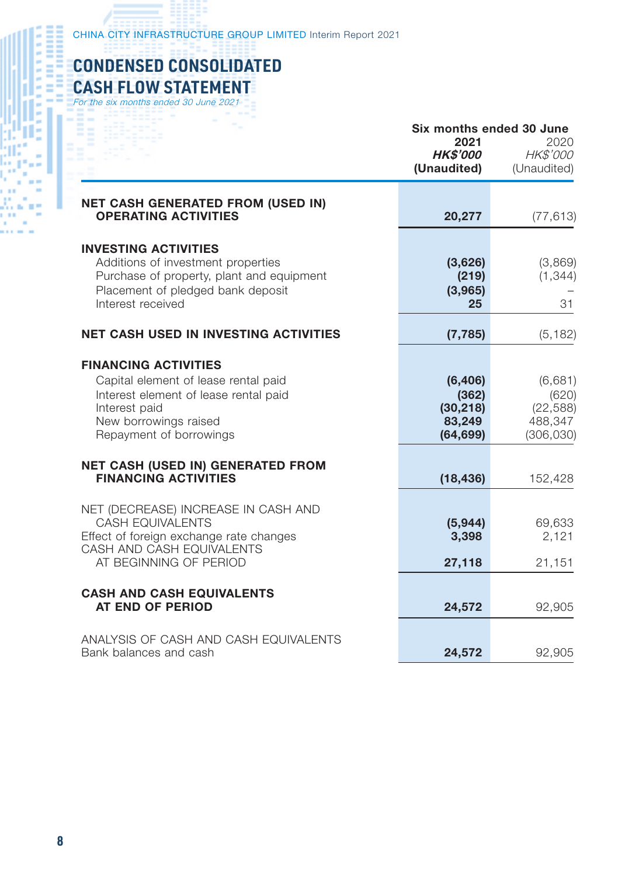CHINA CITY INFRASTRUCTURE GROUP LIMITED Interim Report 2021

# **CONDENSED CONSOLIDATED**

**CASH FLOW STATEMENT** For the six months ended 30 June 2021

EEI

Ķ

|                                                                                                                                                                                   | Six months ended 30 June<br>2021<br><i><b>HK\$'000</b></i><br>(Unaudited) | 2020<br><b>HK\$'000</b><br>(Unaudited)                 |
|-----------------------------------------------------------------------------------------------------------------------------------------------------------------------------------|---------------------------------------------------------------------------|--------------------------------------------------------|
| <b>NET CASH GENERATED FROM (USED IN)</b><br><b>OPERATING ACTIVITIES</b>                                                                                                           | 20,277                                                                    | (77, 613)                                              |
| <b>INVESTING ACTIVITIES</b><br>Additions of investment properties<br>Purchase of property, plant and equipment<br>Placement of pledged bank deposit<br>Interest received          | (3,626)<br>(219)<br>(3,965)<br>25                                         | (3,869)<br>(1, 344)<br>31                              |
| <b>NET CASH USED IN INVESTING ACTIVITIES</b>                                                                                                                                      | (7, 785)                                                                  | (5, 182)                                               |
| <b>FINANCING ACTIVITIES</b><br>Capital element of lease rental paid<br>Interest element of lease rental paid<br>Interest paid<br>New borrowings raised<br>Repayment of borrowings | (6, 406)<br>(362)<br>(30, 218)<br>83,249<br>(64, 699)                     | (6,681)<br>(620)<br>(22, 588)<br>488,347<br>(306, 030) |
| <b>NET CASH (USED IN) GENERATED FROM</b><br><b>FINANCING ACTIVITIES</b>                                                                                                           | (18, 436)                                                                 | 152,428                                                |
| NET (DECREASE) INCREASE IN CASH AND<br><b>CASH EQUIVALENTS</b><br>Effect of foreign exchange rate changes<br>CASH AND CASH EQUIVALENTS<br>AT BEGINNING OF PERIOD                  | (5,944)<br>3,398<br>27,118                                                | 69,633<br>2,121<br>21,151                              |
| <b>CASH AND CASH EQUIVALENTS</b><br>AT END OF PERIOD                                                                                                                              | 24,572                                                                    | 92,905                                                 |
| ANALYSIS OF CASH AND CASH EQUIVALENTS<br>Bank balances and cash                                                                                                                   | 24,572                                                                    | 92,905                                                 |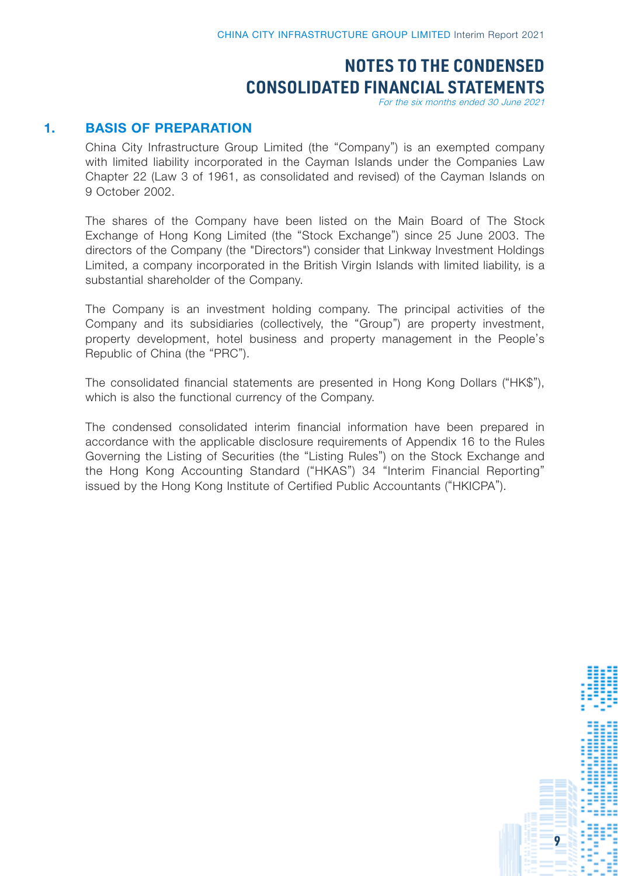For the six months ended 30 June 2021

#### 1. BASIS OF PREPARATION

China City Infrastructure Group Limited (the "Company") is an exempted company with limited liability incorporated in the Cayman Islands under the Companies Law Chapter 22 (Law 3 of 1961, as consolidated and revised) of the Cayman Islands on 9 October 2002.

The shares of the Company have been listed on the Main Board of The Stock Exchange of Hong Kong Limited (the "Stock Exchange") since 25 June 2003. The directors of the Company (the "Directors") consider that Linkway Investment Holdings Limited, a company incorporated in the British Virgin Islands with limited liability, is a substantial shareholder of the Company.

The Company is an investment holding company. The principal activities of the Company and its subsidiaries (collectively, the "Group") are property investment, property development, hotel business and property management in the People's Republic of China (the "PRC").

The consolidated financial statements are presented in Hong Kong Dollars ("HK\$"), which is also the functional currency of the Company.

The condensed consolidated interim financial information have been prepared in accordance with the applicable disclosure requirements of Appendix 16 to the Rules Governing the Listing of Securities (the "Listing Rules") on the Stock Exchange and the Hong Kong Accounting Standard ("HKAS") 34 "Interim Financial Reporting" issued by the Hong Kong Institute of Certified Public Accountants ("HKICPA").

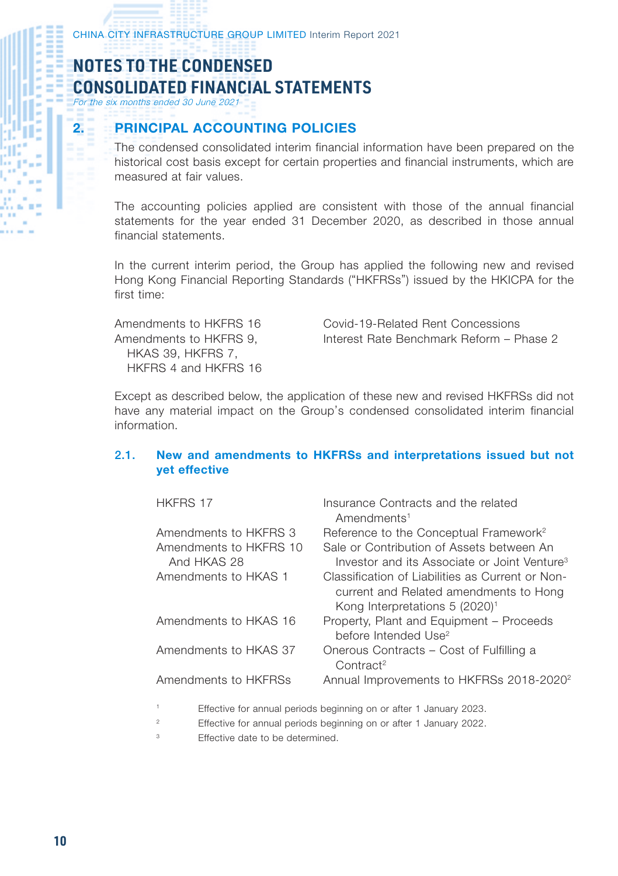CHINA CITY INFRASTRUCTURE GROUP LIMITED Interim Report 2021

# **NOTES TO THE CONDENSED CONSOLIDATED FINANCIAL STATEMENTS**

For the six months ended 30 June 2021

16.88

### 2. PRINCIPAL ACCOUNTING POLICIES

The condensed consolidated interim financial information have been prepared on the historical cost basis except for certain properties and financial instruments, which are measured at fair values.

The accounting policies applied are consistent with those of the annual financial statements for the year ended 31 December 2020, as described in those annual financial statements.

In the current interim period, the Group has applied the following new and revised Hong Kong Financial Reporting Standards ("HKFRSs") issued by the HKICPA for the first time:

Amendments to HKFRS 9, HKAS 39, HKFRS 7, HKFRS 4 and HKFRS 16

Amendments to HKFRS 16 Covid-19-Related Rent Concessions Interest Rate Benchmark Reform – Phase 2

Except as described below, the application of these new and revised HKFRSs did not have any material impact on the Group's condensed consolidated interim financial information.

#### 2.1. New and amendments to HKFRSs and interpretations issued but not yet effective

| <b>HKFRS 17</b>                       | Insurance Contracts and the related<br>Amendments <sup>1</sup>                                                                           |
|---------------------------------------|------------------------------------------------------------------------------------------------------------------------------------------|
| Amendments to HKFRS 3                 | Reference to the Conceptual Framework <sup>2</sup>                                                                                       |
| Amendments to HKFRS 10<br>And HKAS 28 | Sale or Contribution of Assets between An<br>Investor and its Associate or Joint Venture <sup>3</sup>                                    |
| Amendments to HKAS 1                  | Classification of Liabilities as Current or Non-<br>current and Related amendments to Hong<br>Kong Interpretations 5 (2020) <sup>1</sup> |
| Amendments to HKAS 16                 | Property, Plant and Equipment - Proceeds<br>hefore Intended Use <sup>2</sup>                                                             |
| Amendments to HKAS 37                 | Onerous Contracts – Cost of Fulfilling a<br>Contract <sup>2</sup>                                                                        |
| Amendments to HKFRSs                  | Annual Improvements to HKFRSs 2018-2020 <sup>2</sup>                                                                                     |

Effective for annual periods beginning on or after 1 January 2023.

<sup>2</sup> Effective for annual periods beginning on or after 1 January 2022.

3 Effective date to be determined.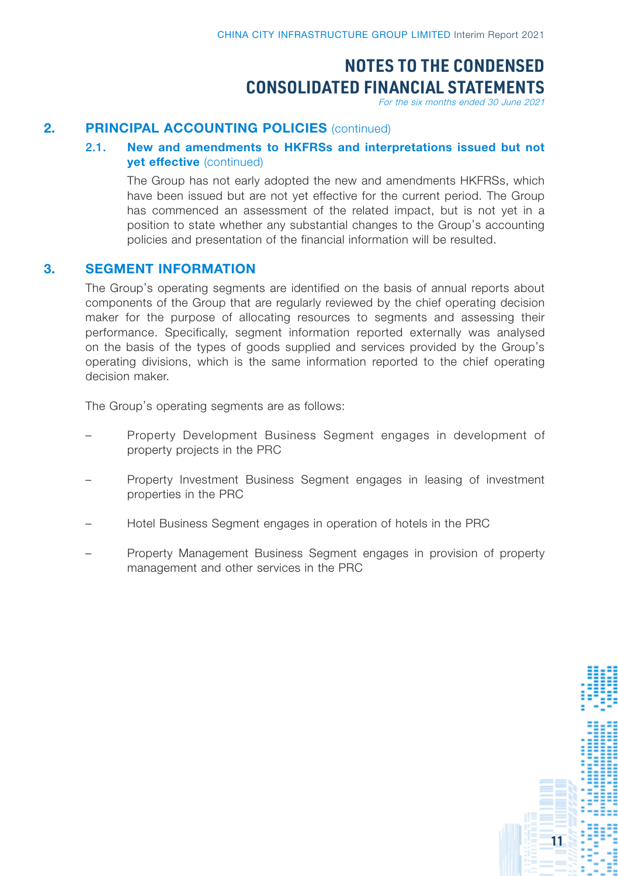For the six months ended 30 June 2021

#### 2. PRINCIPAL ACCOUNTING POLICIES (continued)

#### 2.1. New and amendments to HKFRSs and interpretations issued but not yet effective (continued)

The Group has not early adopted the new and amendments HKFRSs, which have been issued but are not yet effective for the current period. The Group has commenced an assessment of the related impact, but is not yet in a position to state whether any substantial changes to the Group's accounting policies and presentation of the financial information will be resulted.

### 3. SEGMENT INFORMATION

The Group's operating segments are identified on the basis of annual reports about components of the Group that are regularly reviewed by the chief operating decision maker for the purpose of allocating resources to segments and assessing their performance. Specifically, segment information reported externally was analysed on the basis of the types of goods supplied and services provided by the Group's operating divisions, which is the same information reported to the chief operating decision maker.

The Group's operating segments are as follows:

- Property Development Business Segment engages in development of property projects in the PRC
- Property Investment Business Segment engages in leasing of investment properties in the PRC
- Hotel Business Segment engages in operation of hotels in the PRC
- Property Management Business Segment engages in provision of property management and other services in the PRC

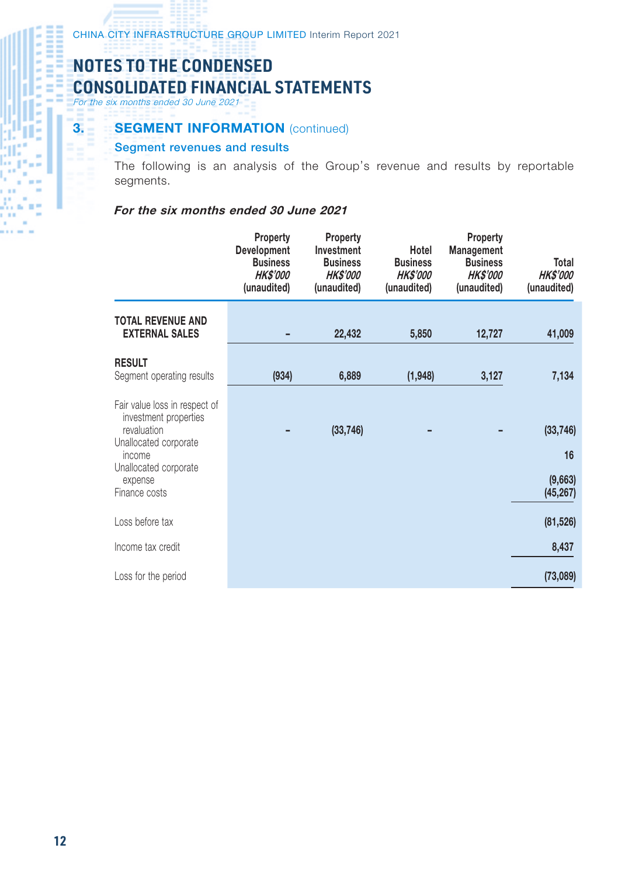For the six months ended 30 June 2021

ıŀ  $\sim$ **CITIES CONTENT** e ex G allen 778 × . . . . .

### **3. SEGMENT INFORMATION** (continued)

#### Segment revenues and results

The following is an analysis of the Group's revenue and results by reportable segments.

#### For the six months ended 30 June 2021

|                                                                                                                                                               | Property<br>Development<br><b>Business</b><br><b>HK\$'000</b><br>(unaudited) | Property<br>Investment<br><b>Business</b><br><b>HK\$'000</b><br>(unaudited) | Hotel<br><b>Business</b><br><b>HK\$'000</b><br>(unaudited) | Property<br>Management<br><b>Business</b><br><b>HK\$'000</b><br>(unaudited) | Total<br><b>HK\$'000</b><br>(unaudited) |
|---------------------------------------------------------------------------------------------------------------------------------------------------------------|------------------------------------------------------------------------------|-----------------------------------------------------------------------------|------------------------------------------------------------|-----------------------------------------------------------------------------|-----------------------------------------|
| TOTAL REVENUE AND<br><b>EXTERNAL SALES</b>                                                                                                                    |                                                                              | 22,432                                                                      | 5,850                                                      | 12,727                                                                      | 41,009                                  |
| <b>RESULT</b><br>Segment operating results                                                                                                                    | (934)                                                                        | 6,889                                                                       | (1,948)                                                    | 3,127                                                                       | 7,134                                   |
| Fair value loss in respect of<br>investment properties<br>revaluation<br>Unallocated corporate<br>income<br>Unallocated corporate<br>expense<br>Finance costs |                                                                              | (33, 746)                                                                   |                                                            |                                                                             | (33, 746)<br>16<br>(9,663)<br>(45, 267) |
| Loss before tax                                                                                                                                               |                                                                              |                                                                             |                                                            |                                                                             | (81, 526)                               |
| Income tax credit                                                                                                                                             |                                                                              |                                                                             |                                                            |                                                                             | 8,437                                   |
| Loss for the period                                                                                                                                           |                                                                              |                                                                             |                                                            |                                                                             | (73,089)                                |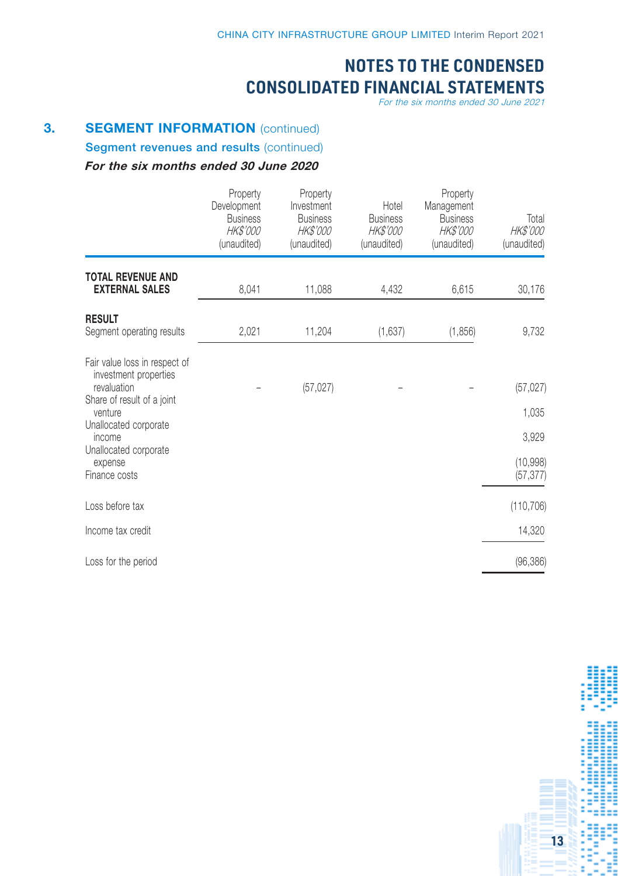For the six months ended 30 June 2021

# **3. SEGMENT INFORMATION (continued)**

Segment revenues and results (continued)

#### For the six months ended 30 June 2020

|                                                                                                                                                                                                        | Property<br>Development<br><b>Business</b><br><b>HK\$'000</b><br>(unaudited) | Property<br>Investment<br><b>Business</b><br><b>HK\$'000</b><br>(unaudited) | Hotel<br><b>Business</b><br><b>HK\$'000</b><br>(unaudited) | Property<br>Management<br><b>Business</b><br><b>HK\$'000</b><br>(unaudited) | Total<br><b>HK\$'000</b><br>(unaudited)              |
|--------------------------------------------------------------------------------------------------------------------------------------------------------------------------------------------------------|------------------------------------------------------------------------------|-----------------------------------------------------------------------------|------------------------------------------------------------|-----------------------------------------------------------------------------|------------------------------------------------------|
| <b>TOTAL REVENUE AND</b><br><b>EXTERNAL SALES</b>                                                                                                                                                      | 8,041                                                                        | 11,088                                                                      | 4,432                                                      | 6,615                                                                       | 30,176                                               |
| <b>RESULT</b><br>Segment operating results                                                                                                                                                             | 2,021                                                                        | 11,204                                                                      | (1,637)                                                    | (1, 856)                                                                    | 9,732                                                |
| Fair value loss in respect of<br>investment properties<br>revaluation<br>Share of result of a joint<br>venture<br>Unallocated corporate<br>income<br>Unallocated corporate<br>expense<br>Finance costs |                                                                              | (57, 027)                                                                   |                                                            |                                                                             | (57, 027)<br>1,035<br>3,929<br>(10,998)<br>(57, 377) |
| Loss before tax                                                                                                                                                                                        |                                                                              |                                                                             |                                                            |                                                                             | (110, 706)                                           |
| Income tax credit<br>Loss for the period                                                                                                                                                               |                                                                              |                                                                             |                                                            |                                                                             | 14,320<br>(96, 386)                                  |

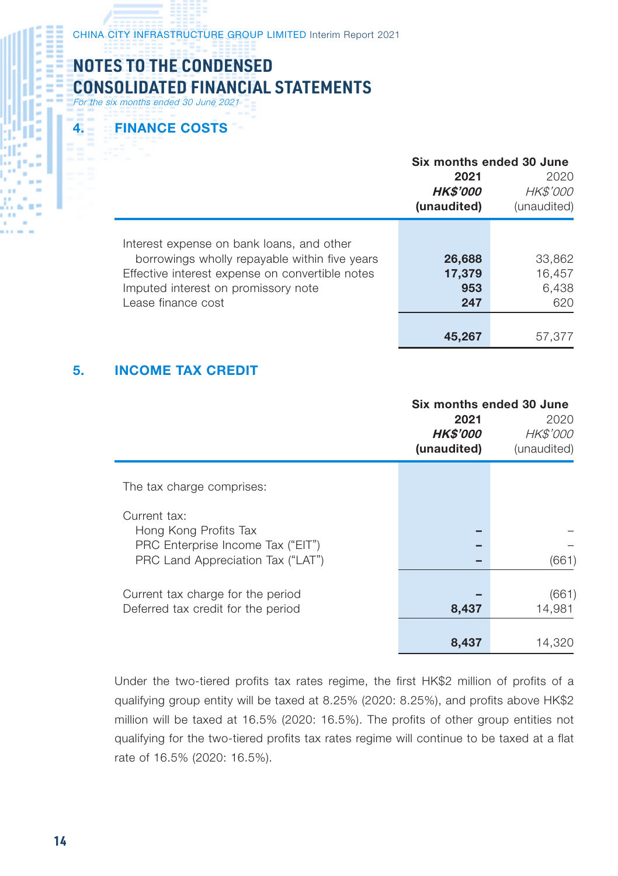CHINA CITY INFRASTRUCTURE GROUP LIMITED Interim Report 2021

# **NOTES TO THE CONDENSED CONSOLIDATED FINANCIAL STATEMENTS**

For the six months ended 30 June 2021

### 4. FINANCE COSTS

|                                                                                            |                                        | Six months ended 30 June               |
|--------------------------------------------------------------------------------------------|----------------------------------------|----------------------------------------|
|                                                                                            | 2021<br><b>HK\$'000</b><br>(unaudited) | 2020<br><b>HK\$'000</b><br>(unaudited) |
|                                                                                            |                                        |                                        |
| Interest expense on bank loans, and other<br>borrowings wholly repayable within five years | 26,688                                 | 33.862                                 |
| Effective interest expense on convertible notes                                            | 17,379                                 | 16,457                                 |
| Imputed interest on promissory note                                                        | 953                                    | 6,438                                  |
| Lease finance cost                                                                         | 247                                    | 620                                    |
|                                                                                            | 45.26                                  | 57.377                                 |

# 5. INCOME TAX CREDIT

|                                                                                                                 | Six months ended 30 June               |                                        |  |
|-----------------------------------------------------------------------------------------------------------------|----------------------------------------|----------------------------------------|--|
|                                                                                                                 | 2021<br><b>HK\$'000</b><br>(unaudited) | 2020<br><b>HK\$'000</b><br>(unaudited) |  |
| The tax charge comprises:                                                                                       |                                        |                                        |  |
| Current tax:<br>Hong Kong Profits Tax<br>PRC Enterprise Income Tax ("EIT")<br>PRC Land Appreciation Tax ("LAT") |                                        | (661)                                  |  |
| Current tax charge for the period<br>Deferred tax credit for the period                                         | 8,437                                  | (661)<br>14,981                        |  |
|                                                                                                                 | 8,437                                  | 14,320                                 |  |

Under the two-tiered profits tax rates regime, the first HK\$2 million of profits of a qualifying group entity will be taxed at 8.25% (2020: 8.25%), and profits above HK\$2 million will be taxed at 16.5% (2020: 16.5%). The profits of other group entities not qualifying for the two-tiered profits tax rates regime will continue to be taxed at a flat rate of 16.5% (2020: 16.5%).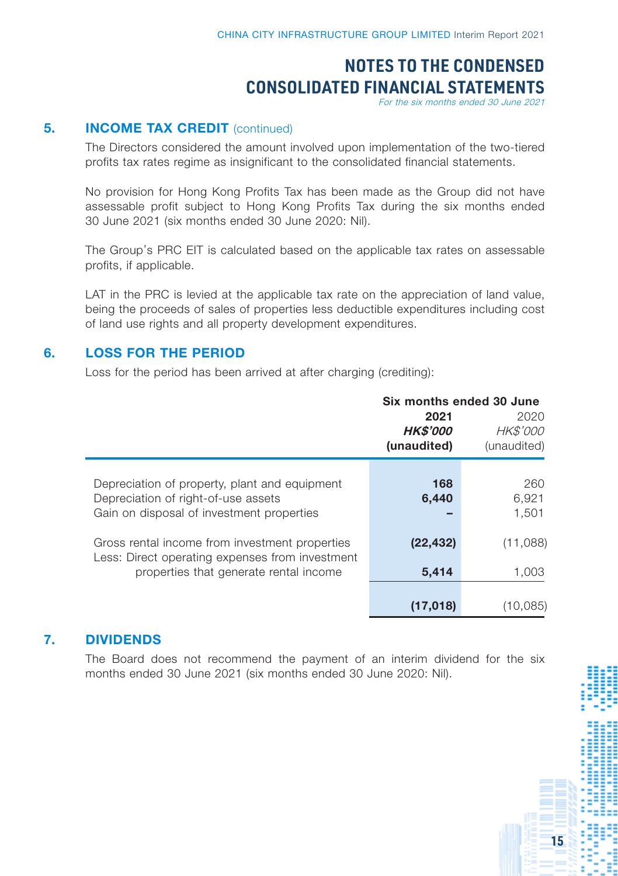For the six months ended 30 June 2021

#### **5. INCOME TAX CREDIT** (continued)

The Directors considered the amount involved upon implementation of the two-tiered profits tax rates regime as insignificant to the consolidated financial statements.

No provision for Hong Kong Profits Tax has been made as the Group did not have assessable profit subject to Hong Kong Profits Tax during the six months ended 30 June 2021 (six months ended 30 June 2020: Nil).

The Group's PRC EIT is calculated based on the applicable tax rates on assessable profits, if applicable.

LAT in the PRC is levied at the applicable tax rate on the appreciation of land value, being the proceeds of sales of properties less deductible expenditures including cost of land use rights and all property development expenditures.

### 6. LOSS FOR THE PERIOD

Loss for the period has been arrived at after charging (crediting):

|                                                                                                                                             | 2021<br><b>HK\$'000</b><br>(unaudited) | Six months ended 30 June<br>2020<br><b>HK\$'000</b><br>(unaudited) |
|---------------------------------------------------------------------------------------------------------------------------------------------|----------------------------------------|--------------------------------------------------------------------|
| Depreciation of property, plant and equipment<br>Depreciation of right-of-use assets<br>Gain on disposal of investment properties           | 168<br>6,440                           | 260<br>6,921<br>1,501                                              |
| Gross rental income from investment properties<br>Less: Direct operating expenses from investment<br>properties that generate rental income | (22, 432)<br>5,414                     | (11,088)<br>1,003                                                  |
|                                                                                                                                             | (17,018)                               | 1851                                                               |

### 7. DIVIDENDS

The Board does not recommend the payment of an interim dividend for the six months ended 30 June 2021 (six months ended 30 June 2020: Nil).

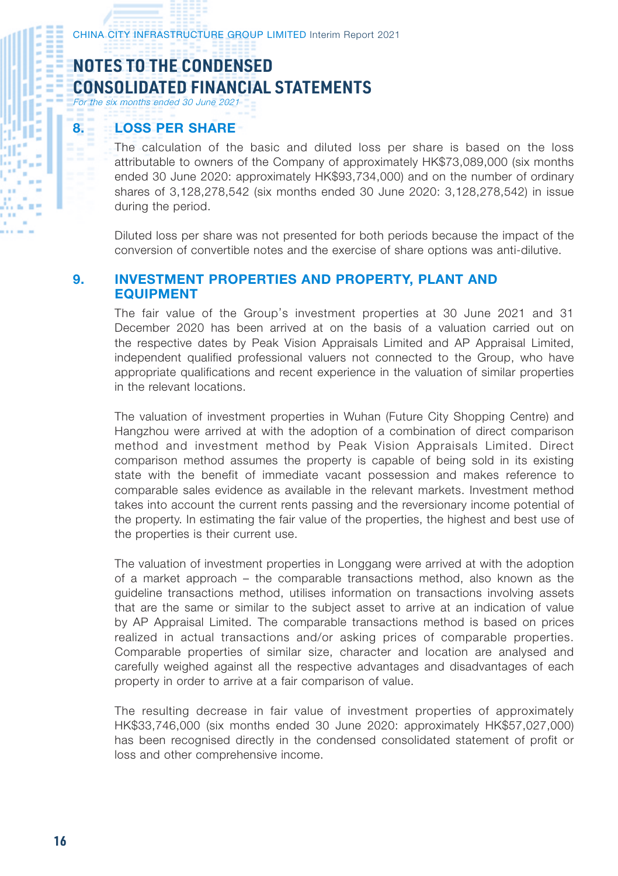For the six months ended 30 June 2021

### 8. LOSS PER SHARE

The calculation of the basic and diluted loss per share is based on the loss attributable to owners of the Company of approximately HK\$73,089,000 (six months ended 30 June 2020: approximately HK\$93,734,000) and on the number of ordinary shares of 3,128,278,542 (six months ended 30 June 2020: 3,128,278,542) in issue during the period.

Diluted loss per share was not presented for both periods because the impact of the conversion of convertible notes and the exercise of share options was anti-dilutive.

### 9. INVESTMENT PROPERTIES AND PROPERTY, PLANT AND EQUIPMENT

The fair value of the Group's investment properties at 30 June 2021 and 31 December 2020 has been arrived at on the basis of a valuation carried out on the respective dates by Peak Vision Appraisals Limited and AP Appraisal Limited, independent qualified professional valuers not connected to the Group, who have appropriate qualifications and recent experience in the valuation of similar properties in the relevant locations.

The valuation of investment properties in Wuhan (Future City Shopping Centre) and Hangzhou were arrived at with the adoption of a combination of direct comparison method and investment method by Peak Vision Appraisals Limited. Direct comparison method assumes the property is capable of being sold in its existing state with the benefit of immediate vacant possession and makes reference to comparable sales evidence as available in the relevant markets. Investment method takes into account the current rents passing and the reversionary income potential of the property. In estimating the fair value of the properties, the highest and best use of the properties is their current use.

The valuation of investment properties in Longgang were arrived at with the adoption of a market approach – the comparable transactions method, also known as the guideline transactions method, utilises information on transactions involving assets that are the same or similar to the subject asset to arrive at an indication of value by AP Appraisal Limited. The comparable transactions method is based on prices realized in actual transactions and/or asking prices of comparable properties. Comparable properties of similar size, character and location are analysed and carefully weighed against all the respective advantages and disadvantages of each property in order to arrive at a fair comparison of value.

The resulting decrease in fair value of investment properties of approximately HK\$33,746,000 (six months ended 30 June 2020: approximately HK\$57,027,000) has been recognised directly in the condensed consolidated statement of profit or loss and other comprehensive income.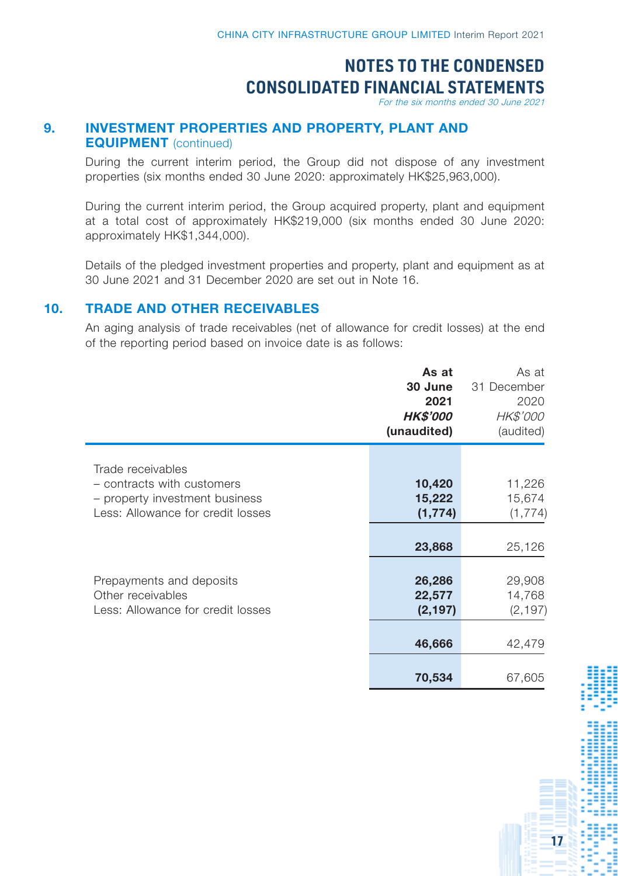For the six months ended 30 June 2021

## 9. INVESTMENT PROPERTIES AND PROPERTY, PLANT AND EQUIPMENT (continued)

During the current interim period, the Group did not dispose of any investment properties (six months ended 30 June 2020: approximately HK\$25,963,000).

During the current interim period, the Group acquired property, plant and equipment at a total cost of approximately HK\$219,000 (six months ended 30 June 2020: approximately HK\$1,344,000).

Details of the pledged investment properties and property, plant and equipment as at 30 June 2021 and 31 December 2020 are set out in Note 16.

### 10. TRADE AND OTHER RECEIVABLES

An aging analysis of trade receivables (net of allowance for credit losses) at the end of the reporting period based on invoice date is as follows:

|                                                                                                                        | As at<br>30 June<br>2021<br><b>HK\$'000</b><br>(unaudited) | As at<br>31 December<br>2020<br><b>HK\$'000</b><br>(audited) |
|------------------------------------------------------------------------------------------------------------------------|------------------------------------------------------------|--------------------------------------------------------------|
| Trade receivables<br>- contracts with customers<br>- property investment business<br>Less: Allowance for credit losses | 10,420<br>15,222<br>(1, 774)                               | 11,226<br>15,674<br>(1, 774)                                 |
|                                                                                                                        | 23,868                                                     | 25,126                                                       |
| Prepayments and deposits<br>Other receivables<br>Less: Allowance for credit losses                                     | 26,286<br>22,577<br>(2, 197)                               | 29,908<br>14,768<br>(2, 197)                                 |
|                                                                                                                        | 46,666                                                     | 42,479                                                       |
|                                                                                                                        | 70,534                                                     | 67,605                                                       |

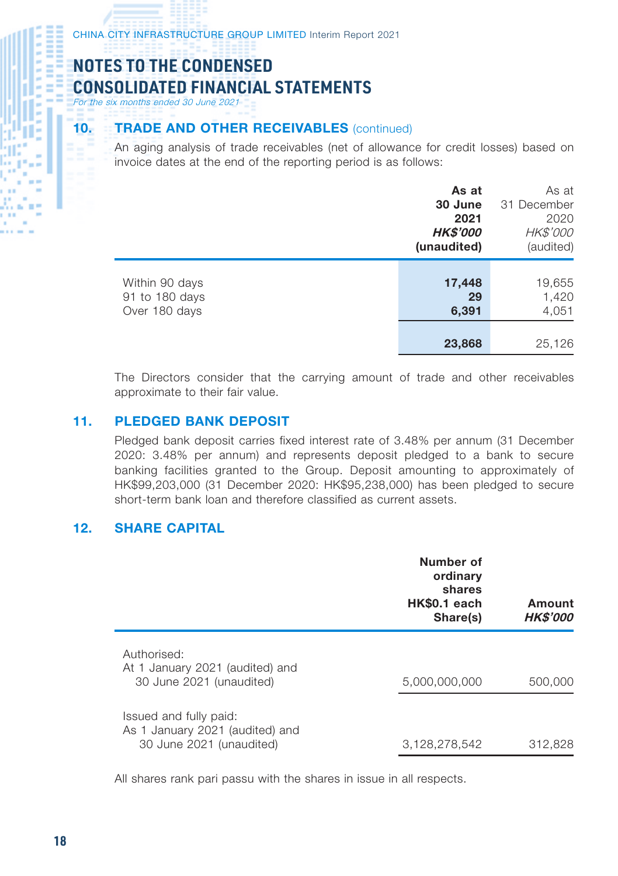CHINA CITY INFRASTRUCTURE GROUP LIMITED Interim Report 2021

# **NOTES TO THE CONDENSED CONSOLIDATED FINANCIAL STATEMENTS**

For the six months ended 30 June 2021

### 10. TRADE AND OTHER RECEIVABLES (continued)

An aging analysis of trade receivables (net of allowance for credit losses) based on invoice dates at the end of the reporting period is as follows:

|                                                   | As at<br>30 June<br>2021<br><b>HK\$'000</b><br>(unaudited) | As at<br>31 December<br>2020<br><b>HK\$'000</b><br>(audited) |
|---------------------------------------------------|------------------------------------------------------------|--------------------------------------------------------------|
| Within 90 days<br>91 to 180 days<br>Over 180 days | 17,448<br>29<br>6,391<br>23,868                            | 19,655<br>1,420<br>4,051<br>25,126                           |

The Directors consider that the carrying amount of trade and other receivables approximate to their fair value.

### 11. PLEDGED BANK DEPOSIT

Pledged bank deposit carries fixed interest rate of 3.48% per annum (31 December 2020: 3.48% per annum) and represents deposit pledged to a bank to secure banking facilities granted to the Group. Deposit amounting to approximately of HK\$99,203,000 (31 December 2020: HK\$95,238,000) has been pledged to secure short-term bank loan and therefore classified as current assets.

## 12. SHARE CAPITAL

|                                                                                       | Number of<br>ordinary<br>shares<br>HK\$0.1 each<br>Share(s) | Amount<br><b>HK\$'000</b> |
|---------------------------------------------------------------------------------------|-------------------------------------------------------------|---------------------------|
| Authorised:<br>At 1 January 2021 (audited) and<br>30 June 2021 (unaudited)            | 5,000,000,000                                               | 500,000                   |
| Issued and fully paid:<br>As 1 January 2021 (audited) and<br>30 June 2021 (unaudited) | 3,128,278,542                                               | 312.828                   |

All shares rank pari passu with the shares in issue in all respects.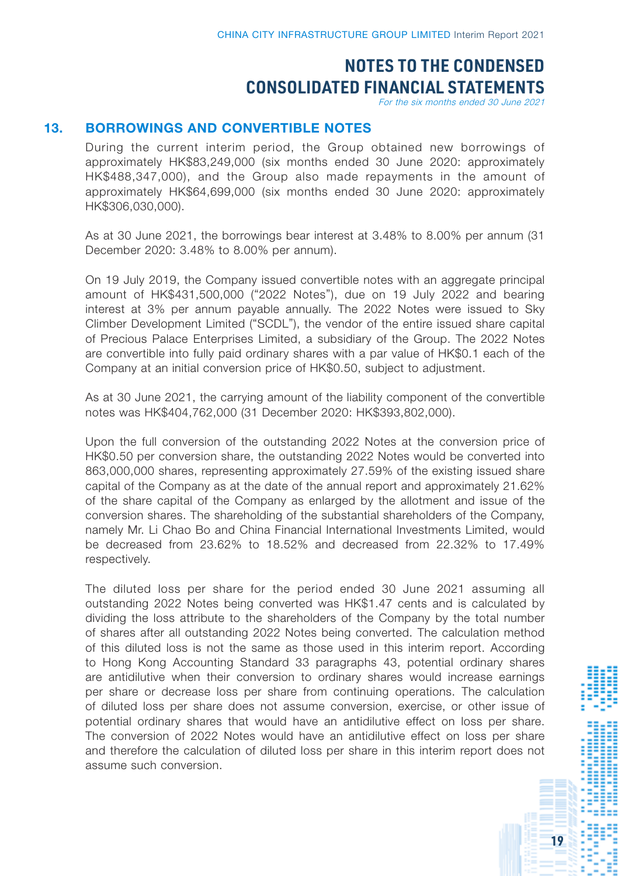For the six months ended 30 June 2021

#### 13. BORROWINGS AND CONVERTIBLE NOTES

During the current interim period, the Group obtained new borrowings of approximately HK\$83,249,000 (six months ended 30 June 2020: approximately HK\$488,347,000), and the Group also made repayments in the amount of approximately HK\$64,699,000 (six months ended 30 June 2020: approximately HK\$306,030,000).

As at 30 June 2021, the borrowings bear interest at 3.48% to 8.00% per annum (31 December 2020: 3.48% to 8.00% per annum).

On 19 July 2019, the Company issued convertible notes with an aggregate principal amount of HK\$431,500,000 ("2022 Notes"), due on 19 July 2022 and bearing interest at 3% per annum payable annually. The 2022 Notes were issued to Sky Climber Development Limited ("SCDL"), the vendor of the entire issued share capital of Precious Palace Enterprises Limited, a subsidiary of the Group. The 2022 Notes are convertible into fully paid ordinary shares with a par value of HK\$0.1 each of the Company at an initial conversion price of HK\$0.50, subject to adjustment.

As at 30 June 2021, the carrying amount of the liability component of the convertible notes was HK\$404,762,000 (31 December 2020: HK\$393,802,000).

Upon the full conversion of the outstanding 2022 Notes at the conversion price of HK\$0.50 per conversion share, the outstanding 2022 Notes would be converted into 863,000,000 shares, representing approximately 27.59% of the existing issued share capital of the Company as at the date of the annual report and approximately 21.62% of the share capital of the Company as enlarged by the allotment and issue of the conversion shares. The shareholding of the substantial shareholders of the Company, namely Mr. Li Chao Bo and China Financial International Investments Limited, would be decreased from 23.62% to 18.52% and decreased from 22.32% to 17.49% respectively.

The diluted loss per share for the period ended 30 June 2021 assuming all outstanding 2022 Notes being converted was HK\$1.47 cents and is calculated by dividing the loss attribute to the shareholders of the Company by the total number of shares after all outstanding 2022 Notes being converted. The calculation method of this diluted loss is not the same as those used in this interim report. According to Hong Kong Accounting Standard 33 paragraphs 43, potential ordinary shares are antidilutive when their conversion to ordinary shares would increase earnings per share or decrease loss per share from continuing operations. The calculation of diluted loss per share does not assume conversion, exercise, or other issue of potential ordinary shares that would have an antidilutive effect on loss per share. The conversion of 2022 Notes would have an antidilutive effect on loss per share and therefore the calculation of diluted loss per share in this interim report does not assume such conversion.

Ì

×

W

**Second**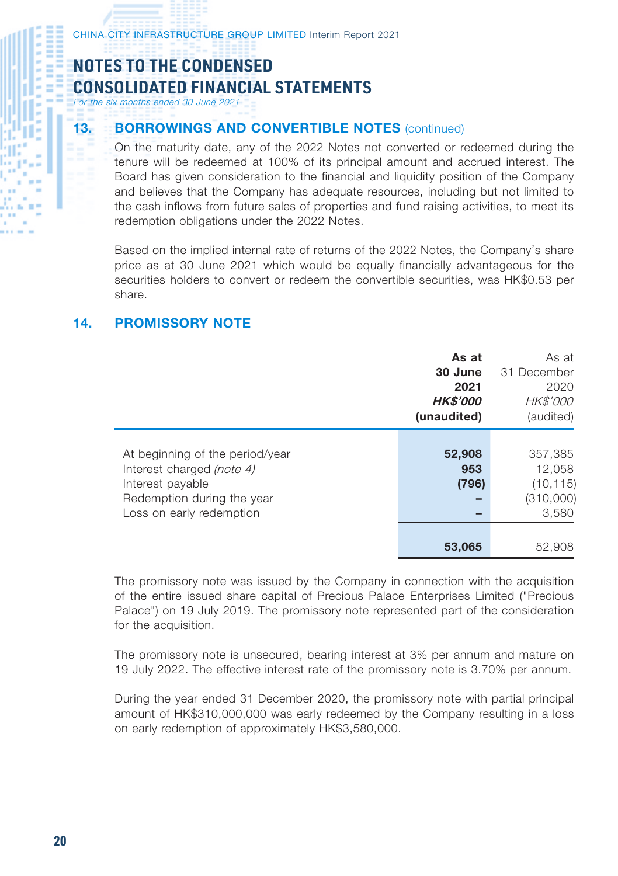CHINA CITY INFRASTRUCTURE GROUP LIMITED Interim Report 2021

# **NOTES TO THE CONDENSED CONSOLIDATED FINANCIAL STATEMENTS**

For the six months ended 30 June 2021

### 13. BORROWINGS AND CONVERTIBLE NOTES (continued)

On the maturity date, any of the 2022 Notes not converted or redeemed during the tenure will be redeemed at 100% of its principal amount and accrued interest. The Board has given consideration to the financial and liquidity position of the Company and believes that the Company has adequate resources, including but not limited to the cash inflows from future sales of properties and fund raising activities, to meet its redemption obligations under the 2022 Notes.

Based on the implied internal rate of returns of the 2022 Notes, the Company's share price as at 30 June 2021 which would be equally financially advantageous for the securities holders to convert or redeem the convertible securities, was HK\$0.53 per share.

### 14. PROMISSORY NOTE

|                                                                                                                                            | As at<br>30 June<br>2021<br><b>HK\$'000</b><br>(unaudited) | As at<br>31 December<br>2020<br><b>HK\$'000</b><br>(audited)   |
|--------------------------------------------------------------------------------------------------------------------------------------------|------------------------------------------------------------|----------------------------------------------------------------|
| At beginning of the period/year<br>Interest charged (note 4)<br>Interest payable<br>Redemption during the year<br>Loss on early redemption | 52,908<br>953<br>(796)<br>53,065                           | 357,385<br>12.058<br>(10, 115)<br>(310,000)<br>3,580<br>52,908 |

The promissory note was issued by the Company in connection with the acquisition of the entire issued share capital of Precious Palace Enterprises Limited ("Precious Palace") on 19 July 2019. The promissory note represented part of the consideration for the acquisition.

The promissory note is unsecured, bearing interest at 3% per annum and mature on 19 July 2022. The effective interest rate of the promissory note is 3.70% per annum.

During the year ended 31 December 2020, the promissory note with partial principal amount of HK\$310,000,000 was early redeemed by the Company resulting in a loss on early redemption of approximately HK\$3,580,000.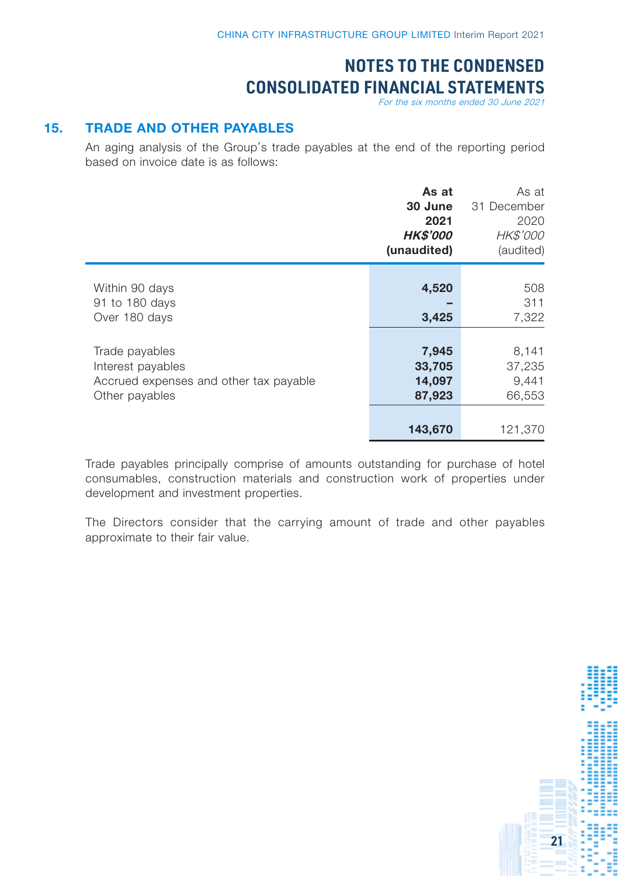For the six months ended 30 June 2021

# 15. TRADE AND OTHER PAYABLES

An aging analysis of the Group's trade payables at the end of the reporting period based on invoice date is as follows:

|                                        | As at<br>30 June<br>2021<br><b>HK\$'000</b><br>(unaudited) | As at<br>31 December<br>2020<br><b>HK\$'000</b><br>(audited) |
|----------------------------------------|------------------------------------------------------------|--------------------------------------------------------------|
| Within 90 days                         | 4,520                                                      | 508                                                          |
| 91 to 180 days                         |                                                            | 311                                                          |
| Over 180 days                          | 3,425                                                      | 7,322                                                        |
|                                        |                                                            |                                                              |
| Trade payables                         | 7,945                                                      | 8,141                                                        |
| Interest payables                      | 33,705                                                     | 37,235                                                       |
| Accrued expenses and other tax payable | 14,097                                                     | 9,441                                                        |
| Other payables                         | 87,923                                                     | 66,553                                                       |
|                                        |                                                            |                                                              |
|                                        | 143,670                                                    | 121,370                                                      |

Trade payables principally comprise of amounts outstanding for purchase of hotel consumables, construction materials and construction work of properties under development and investment properties.

The Directors consider that the carrying amount of trade and other payables approximate to their fair value.

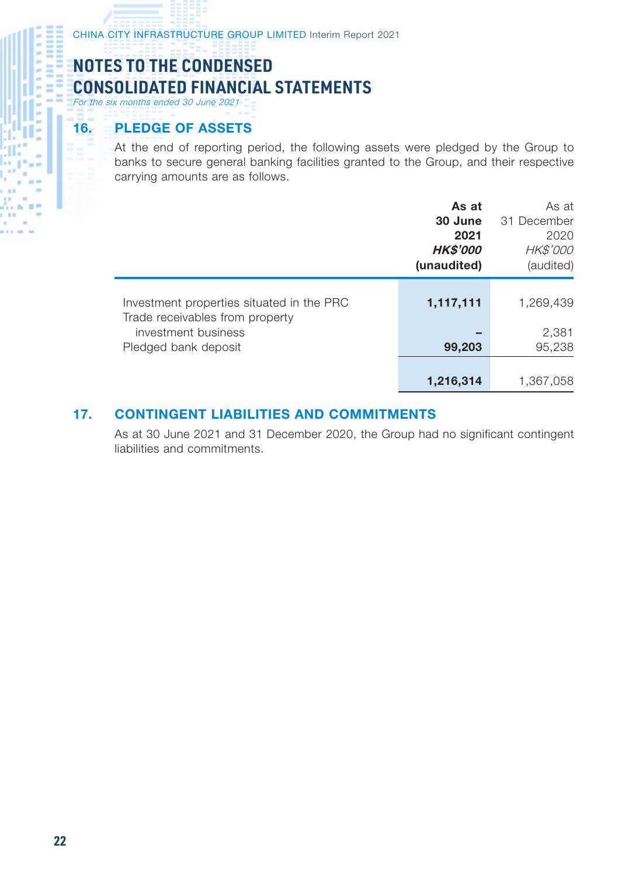CHINA CITY INFRASTRUCTURE GROUP LIMITED Interim Report 2021

# **NOTES TO THE CONDENSED CONSOLIDATED FINANCIAL STATEMENTS**

For the six months ended 30 June 2021

..

× in e

# 16. PLEDGE OF ASSETS

At the end of reporting period, the following assets were pledged by the Group to banks to secure general banking facilities granted to the Group, and their respective carrying amounts are as follows.

|                                                                              | As at<br>30 June<br>2021<br><b>HK\$'000</b><br>(unaudited) | As at<br>31 December<br>2020<br><b>HK\$'000</b><br>(audited) |
|------------------------------------------------------------------------------|------------------------------------------------------------|--------------------------------------------------------------|
| Investment properties situated in the PRC<br>Trade receivables from property | 1,117,111                                                  | 1,269,439                                                    |
| investment business                                                          |                                                            | 2,381                                                        |
| Pledged bank deposit                                                         | 99,203                                                     | 95,238                                                       |
|                                                                              | 1,216,314                                                  | 1,367,058                                                    |

# 17. CONTINGENT LIABILITIES AND COMMITMENTS

As at 30 June 2021 and 31 December 2020, the Group had no significant contingent liabilities and commitments.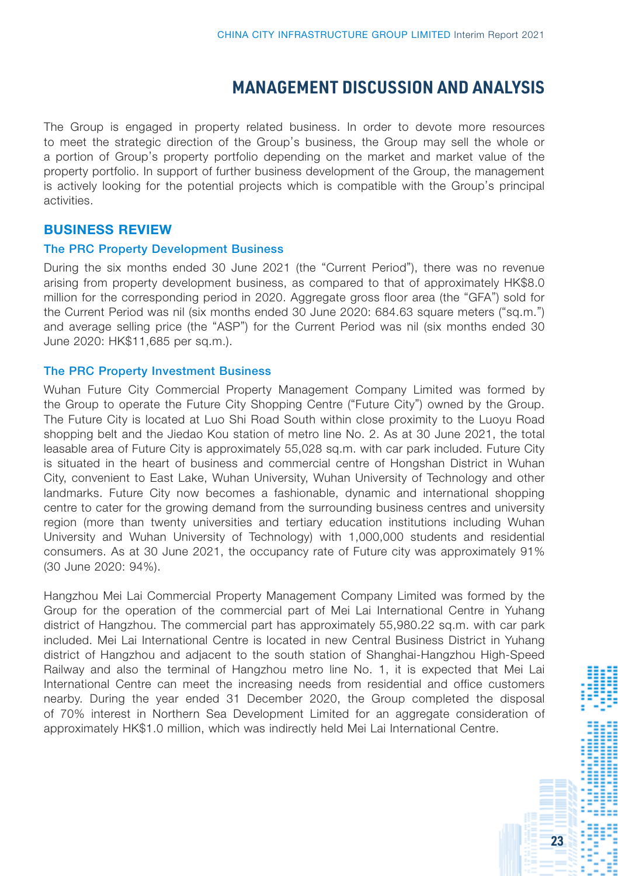# **MANAGEMENT DISCUSSION AND ANALYSIS**

The Group is engaged in property related business. In order to devote more resources to meet the strategic direction of the Group's business, the Group may sell the whole or a portion of Group's property portfolio depending on the market and market value of the property portfolio. In support of further business development of the Group, the management is actively looking for the potential projects which is compatible with the Group's principal activities.

#### BUSINESS REVIEW

#### The PRC Property Development Business

During the six months ended 30 June 2021 (the "Current Period"), there was no revenue arising from property development business, as compared to that of approximately HK\$8.0 million for the corresponding period in 2020. Aggregate gross floor area (the "GFA") sold for the Current Period was nil (six months ended 30 June 2020: 684.63 square meters ("sq.m.") and average selling price (the "ASP") for the Current Period was nil (six months ended 30 June 2020: HK\$11,685 per sq.m.).

#### The PRC Property Investment Business

Wuhan Future City Commercial Property Management Company Limited was formed by the Group to operate the Future City Shopping Centre ("Future City") owned by the Group. The Future City is located at Luo Shi Road South within close proximity to the Luoyu Road shopping belt and the Jiedao Kou station of metro line No. 2. As at 30 June 2021, the total leasable area of Future City is approximately 55,028 sq.m. with car park included. Future City is situated in the heart of business and commercial centre of Hongshan District in Wuhan City, convenient to East Lake, Wuhan University, Wuhan University of Technology and other landmarks. Future City now becomes a fashionable, dynamic and international shopping centre to cater for the growing demand from the surrounding business centres and university region (more than twenty universities and tertiary education institutions including Wuhan University and Wuhan University of Technology) with 1,000,000 students and residential consumers. As at 30 June 2021, the occupancy rate of Future city was approximately 91% (30 June 2020: 94%).

Hangzhou Mei Lai Commercial Property Management Company Limited was formed by the Group for the operation of the commercial part of Mei Lai International Centre in Yuhang district of Hangzhou. The commercial part has approximately 55,980.22 sq.m. with car park included. Mei Lai International Centre is located in new Central Business District in Yuhang district of Hangzhou and adjacent to the south station of Shanghai-Hangzhou High-Speed Railway and also the terminal of Hangzhou metro line No. 1, it is expected that Mei Lai International Centre can meet the increasing needs from residential and office customers nearby. During the year ended 31 December 2020, the Group completed the disposal of 70% interest in Northern Sea Development Limited for an aggregate consideration of approximately HK\$1.0 million, which was indirectly held Mei Lai International Centre.



Ì

₩

**SOURING** 

40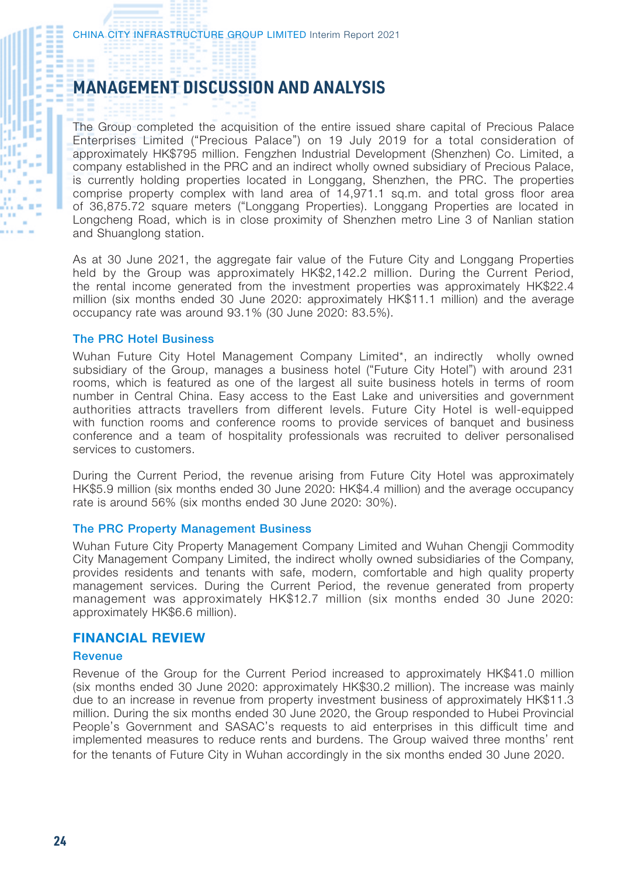# **MANAGEMENT DISCUSSION AND ANALYSIS MANAGEMENT DISCUSSION AND ANALYSIS**

The Group completed the acquisition of the entire issued share capital of Precious Palace Enterprises Limited ("Precious Palace") on 19 July 2019 for a total consideration of approximately HK\$795 million. Fengzhen Industrial Development (Shenzhen) Co. Limited, a company established in the PRC and an indirect wholly owned subsidiary of Precious Palace, is currently holding properties located in Longgang, Shenzhen, the PRC. The properties comprise property complex with land area of 14,971.1 sq.m. and total gross floor area of 36,875.72 square meters ("Longgang Properties). Longgang Properties are located in Longcheng Road, which is in close proximity of Shenzhen metro Line 3 of Nanlian station and Shuanglong station.

As at 30 June 2021, the aggregate fair value of the Future City and Longgang Properties held by the Group was approximately HK\$2,142.2 million. During the Current Period, the rental income generated from the investment properties was approximately HK\$22.4 million (six months ended 30 June 2020: approximately HK\$11.1 million) and the average occupancy rate was around 93.1% (30 June 2020: 83.5%).

#### The PRC Hotel Business

**CITIES** 

16.85

Wuhan Future City Hotel Management Company Limited\*, an indirectly wholly owned subsidiary of the Group, manages a business hotel ("Future City Hotel") with around 231 rooms, which is featured as one of the largest all suite business hotels in terms of room number in Central China. Easy access to the East Lake and universities and government authorities attracts travellers from different levels. Future City Hotel is well-equipped with function rooms and conference rooms to provide services of banquet and business conference and a team of hospitality professionals was recruited to deliver personalised services to customers.

During the Current Period, the revenue arising from Future City Hotel was approximately HK\$5.9 million (six months ended 30 June 2020: HK\$4.4 million) and the average occupancy rate is around 56% (six months ended 30 June 2020: 30%).

#### The PRC Property Management Business

Wuhan Future City Property Management Company Limited and Wuhan Chengji Commodity City Management Company Limited, the indirect wholly owned subsidiaries of the Company, provides residents and tenants with safe, modern, comfortable and high quality property management services. During the Current Period, the revenue generated from property management was approximately HK\$12.7 million (six months ended 30 June 2020: approximately HK\$6.6 million).

#### FINANCIAL REVIEW

#### **Revenue**

Revenue of the Group for the Current Period increased to approximately HK\$41.0 million (six months ended 30 June 2020: approximately HK\$30.2 million). The increase was mainly due to an increase in revenue from property investment business of approximately HK\$11.3 million. During the six months ended 30 June 2020, the Group responded to Hubei Provincial People's Government and SASAC's requests to aid enterprises in this difficult time and implemented measures to reduce rents and burdens. The Group waived three months' rent for the tenants of Future City in Wuhan accordingly in the six months ended 30 June 2020.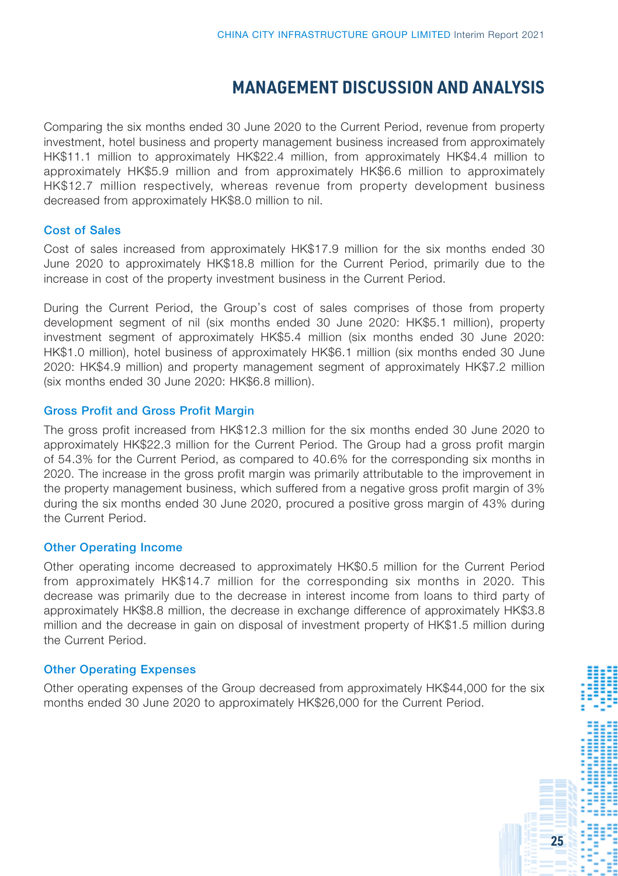# **MANAGEMENT DISCUSSION AND ANALYSIS**

Comparing the six months ended 30 June 2020 to the Current Period, revenue from property investment, hotel business and property management business increased from approximately HK\$11.1 million to approximately HK\$22.4 million, from approximately HK\$4.4 million to approximately HK\$5.9 million and from approximately HK\$6.6 million to approximately HK\$12.7 million respectively, whereas revenue from property development business decreased from approximately HK\$8.0 million to nil.

#### Cost of Sales

Cost of sales increased from approximately HK\$17.9 million for the six months ended 30 June 2020 to approximately HK\$18.8 million for the Current Period, primarily due to the increase in cost of the property investment business in the Current Period.

During the Current Period, the Group's cost of sales comprises of those from property development segment of nil (six months ended 30 June 2020: HK\$5.1 million), property investment segment of approximately HK\$5.4 million (six months ended 30 June 2020: HK\$1.0 million), hotel business of approximately HK\$6.1 million (six months ended 30 June 2020: HK\$4.9 million) and property management segment of approximately HK\$7.2 million (six months ended 30 June 2020: HK\$6.8 million).

#### Gross Profit and Gross Profit Margin

The gross profit increased from HK\$12.3 million for the six months ended 30 June 2020 to approximately HK\$22.3 million for the Current Period. The Group had a gross profit margin of 54.3% for the Current Period, as compared to 40.6% for the corresponding six months in 2020. The increase in the gross profit margin was primarily attributable to the improvement in the property management business, which suffered from a negative gross profit margin of 3% during the six months ended 30 June 2020, procured a positive gross margin of 43% during the Current Period.

#### Other Operating Income

Other operating income decreased to approximately HK\$0.5 million for the Current Period from approximately HK\$14.7 million for the corresponding six months in 2020. This decrease was primarily due to the decrease in interest income from loans to third party of approximately HK\$8.8 million, the decrease in exchange difference of approximately HK\$3.8 million and the decrease in gain on disposal of investment property of HK\$1.5 million during the Current Period.

#### Other Operating Expenses

Other operating expenses of the Group decreased from approximately HK\$44,000 for the six months ended 30 June 2020 to approximately HK\$26,000 for the Current Period.

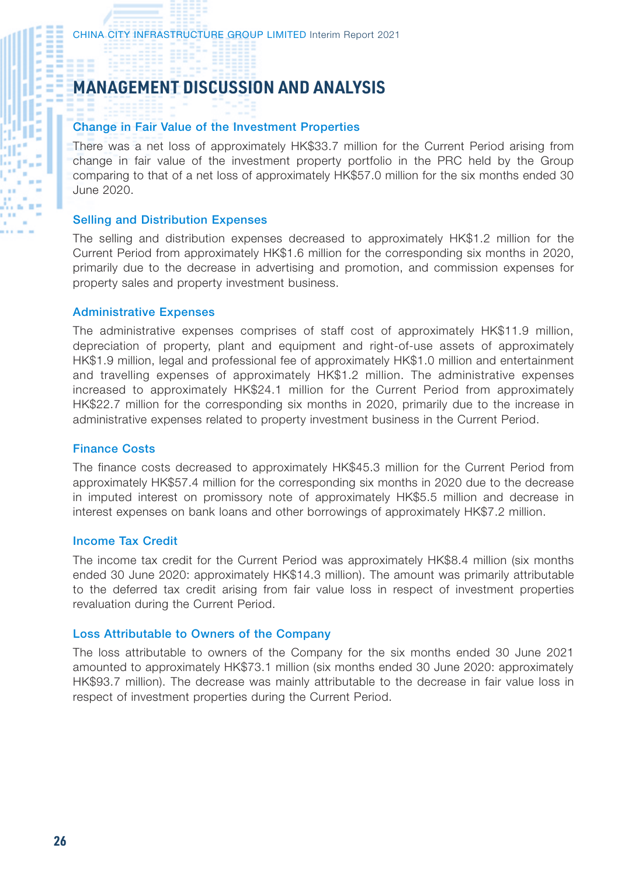# **MANAGEMENT DISCUSSION AND ANALYSIS MANAGEMENT DISCUSSION AND ANALYSIS**

#### Change in Fair Value of the Investment Properties

There was a net loss of approximately HK\$33.7 million for the Current Period arising from change in fair value of the investment property portfolio in the PRC held by the Group comparing to that of a net loss of approximately HK\$57.0 million for the six months ended 30 June 2020.

#### Selling and Distribution Expenses

The selling and distribution expenses decreased to approximately HK\$1.2 million for the Current Period from approximately HK\$1.6 million for the corresponding six months in 2020, primarily due to the decrease in advertising and promotion, and commission expenses for property sales and property investment business.

#### Administrative Expenses

The administrative expenses comprises of staff cost of approximately HK\$11.9 million, depreciation of property, plant and equipment and right-of-use assets of approximately HK\$1.9 million, legal and professional fee of approximately HK\$1.0 million and entertainment and travelling expenses of approximately HK\$1.2 million. The administrative expenses increased to approximately HK\$24.1 million for the Current Period from approximately HK\$22.7 million for the corresponding six months in 2020, primarily due to the increase in administrative expenses related to property investment business in the Current Period.

#### Finance Costs

The finance costs decreased to approximately HK\$45.3 million for the Current Period from approximately HK\$57.4 million for the corresponding six months in 2020 due to the decrease in imputed interest on promissory note of approximately HK\$5.5 million and decrease in interest expenses on bank loans and other borrowings of approximately HK\$7.2 million.

#### Income Tax Credit

The income tax credit for the Current Period was approximately HK\$8.4 million (six months ended 30 June 2020: approximately HK\$14.3 million). The amount was primarily attributable to the deferred tax credit arising from fair value loss in respect of investment properties revaluation during the Current Period.

#### Loss Attributable to Owners of the Company

The loss attributable to owners of the Company for the six months ended 30 June 2021 amounted to approximately HK\$73.1 million (six months ended 30 June 2020: approximately HK\$93.7 million). The decrease was mainly attributable to the decrease in fair value loss in respect of investment properties during the Current Period.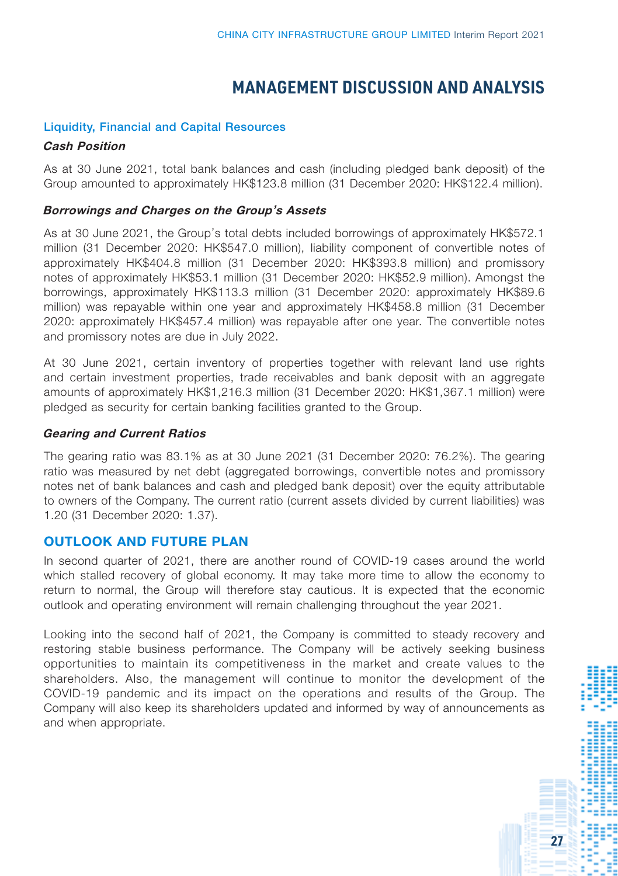# **MANAGEMENT DISCUSSION AND ANALYSIS**

#### Liquidity, Financial and Capital Resources

#### Cash Position

As at 30 June 2021, total bank balances and cash (including pledged bank deposit) of the Group amounted to approximately HK\$123.8 million (31 December 2020: HK\$122.4 million).

#### Borrowings and Charges on the Group's Assets

As at 30 June 2021, the Group's total debts included borrowings of approximately HK\$572.1 million (31 December 2020: HK\$547.0 million), liability component of convertible notes of approximately HK\$404.8 million (31 December 2020: HK\$393.8 million) and promissory notes of approximately HK\$53.1 million (31 December 2020: HK\$52.9 million). Amongst the borrowings, approximately HK\$113.3 million (31 December 2020: approximately HK\$89.6 million) was repayable within one year and approximately HK\$458.8 million (31 December 2020: approximately HK\$457.4 million) was repayable after one year. The convertible notes and promissory notes are due in July 2022.

At 30 June 2021, certain inventory of properties together with relevant land use rights and certain investment properties, trade receivables and bank deposit with an aggregate amounts of approximately HK\$1,216.3 million (31 December 2020: HK\$1,367.1 million) were pledged as security for certain banking facilities granted to the Group.

#### Gearing and Current Ratios

The gearing ratio was 83.1% as at 30 June 2021 (31 December 2020: 76.2%). The gearing ratio was measured by net debt (aggregated borrowings, convertible notes and promissory notes net of bank balances and cash and pledged bank deposit) over the equity attributable to owners of the Company. The current ratio (current assets divided by current liabilities) was 1.20 (31 December 2020: 1.37).

### OUTLOOK AND FUTURE PLAN

In second quarter of 2021, there are another round of COVID-19 cases around the world which stalled recovery of global economy. It may take more time to allow the economy to return to normal, the Group will therefore stay cautious. It is expected that the economic outlook and operating environment will remain challenging throughout the year 2021.

Looking into the second half of 2021, the Company is committed to steady recovery and restoring stable business performance. The Company will be actively seeking business opportunities to maintain its competitiveness in the market and create values to the shareholders. Also, the management will continue to monitor the development of the COVID-19 pandemic and its impact on the operations and results of the Group. The Company will also keep its shareholders updated and informed by way of announcements as and when appropriate.

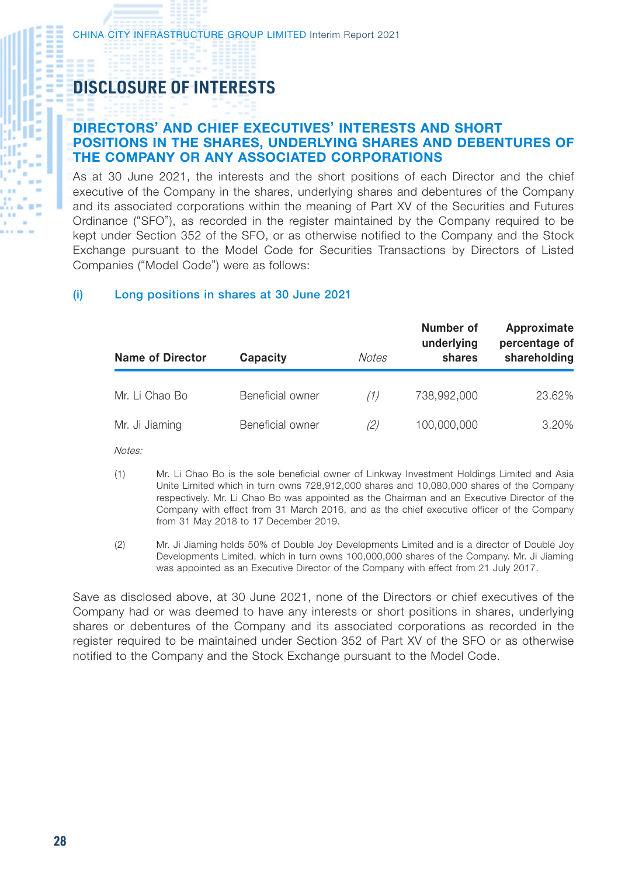# **DISCLOSURE OF INTERESTS DISCLOSURE OF INTERESTS**

#### DIRECTORS' AND CHIEF EXECUTIVES' INTERESTS AND SHORT POSITIONS IN THE SHARES, UNDERLYING SHARES AND DEBENTURES OF THE COMPANY OR ANY ASSOCIATED CORPORATIONS

As at 30 June 2021, the interests and the short positions of each Director and the chief executive of the Company in the shares, underlying shares and debentures of the Company and its associated corporations within the meaning of Part XV of the Securities and Futures Ordinance ("SFO"), as recorded in the register maintained by the Company required to be kept under Section 352 of the SFO, or as otherwise notified to the Company and the Stock Exchange pursuant to the Model Code for Securities Transactions by Directors of Listed Companies ("Model Code") were as follows:

#### (i) Long positions in shares at 30 June 2021

| Name of Director | Capacity         | Notes | Number of<br>underlying<br>shares | Approximate<br>percentage of<br>shareholding |
|------------------|------------------|-------|-----------------------------------|----------------------------------------------|
| Mr. Li Chao Bo   | Beneficial owner | (1)   | 738.992.000                       | 23.62%                                       |
| Mr. Ji Jiaming   | Beneficial owner | (2)   | 100,000,000                       | 3.20%                                        |

Notes:

Ï

16.85 . ..

- (1) Mr. Li Chao Bo is the sole beneficial owner of Linkway Investment Holdings Limited and Asia Unite Limited which in turn owns 728,912,000 shares and 10,080,000 shares of the Company respectively. Mr. Li Chao Bo was appointed as the Chairman and an Executive Director of the Company with effect from 31 March 2016, and as the chief executive officer of the Company from 31 May 2018 to 17 December 2019.
- (2) Mr. Ji Jiaming holds 50% of Double Joy Developments Limited and is a director of Double Joy Developments Limited, which in turn owns 100,000,000 shares of the Company. Mr. Ji Jiaming was appointed as an Executive Director of the Company with effect from 21 July 2017.

Save as disclosed above, at 30 June 2021, none of the Directors or chief executives of the Company had or was deemed to have any interests or short positions in shares, underlying shares or debentures of the Company and its associated corporations as recorded in the register required to be maintained under Section 352 of Part XV of the SFO or as otherwise notified to the Company and the Stock Exchange pursuant to the Model Code.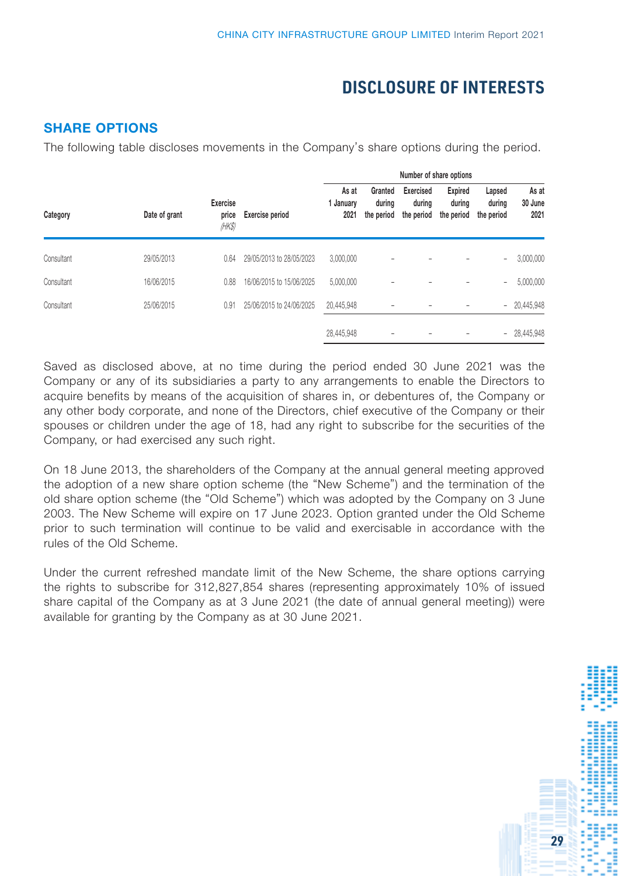# **DISCLOSURE OF INTERESTS**

### SHARE OPTIONS

The following table discloses movements in the Company's share options during the period.

|            |               |                                    |                          | Number of share options    |                                 |                                   |                                        |                                |                          |
|------------|---------------|------------------------------------|--------------------------|----------------------------|---------------------------------|-----------------------------------|----------------------------------------|--------------------------------|--------------------------|
| Category   | Date of grant | <b>Exercise</b><br>price<br>(HK\$) | <b>Exercise period</b>   | As at<br>1 January<br>2021 | Granted<br>during<br>the period | Exercised<br>durina<br>the period | <b>Expired</b><br>during<br>the period | Lapsed<br>during<br>the period | As at<br>30 June<br>2021 |
| Consultant | 29/05/2013    | 0.64                               | 29/05/2013 to 28/05/2023 | 3.000.000                  |                                 |                                   |                                        | $\overline{\phantom{a}}$       | 3,000,000                |
| Consultant | 16/06/2015    | 0.88                               | 16/06/2015 to 15/06/2025 | 5.000.000                  |                                 |                                   |                                        | $\overline{\phantom{a}}$       | 5,000,000                |
| Consultant | 25/06/2015    | 0.91                               | 25/06/2015 to 24/06/2025 | 20.445.948                 |                                 |                                   |                                        |                                | $-20,445,948$            |
|            |               |                                    |                          | 28.445.948                 |                                 |                                   |                                        |                                | $-28.445.948$            |

Saved as disclosed above, at no time during the period ended 30 June 2021 was the Company or any of its subsidiaries a party to any arrangements to enable the Directors to acquire benefits by means of the acquisition of shares in, or debentures of, the Company or any other body corporate, and none of the Directors, chief executive of the Company or their spouses or children under the age of 18, had any right to subscribe for the securities of the Company, or had exercised any such right.

On 18 June 2013, the shareholders of the Company at the annual general meeting approved the adoption of a new share option scheme (the "New Scheme") and the termination of the old share option scheme (the "Old Scheme") which was adopted by the Company on 3 June 2003. The New Scheme will expire on 17 June 2023. Option granted under the Old Scheme prior to such termination will continue to be valid and exercisable in accordance with the rules of the Old Scheme.

Under the current refreshed mandate limit of the New Scheme, the share options carrying the rights to subscribe for 312,827,854 shares (representing approximately 10% of issued share capital of the Company as at 3 June 2021 (the date of annual general meeting)) were available for granting by the Company as at 30 June 2021.

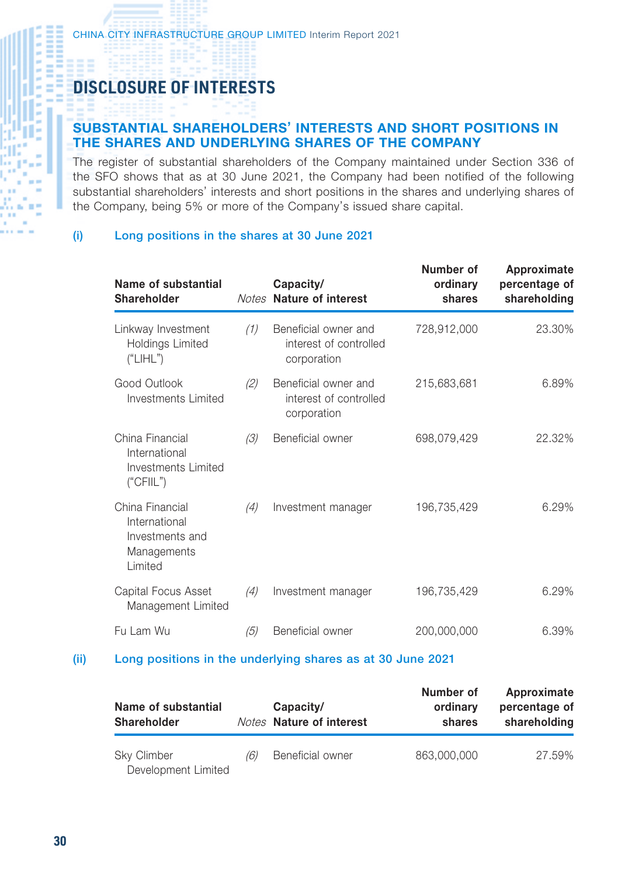**DISCLOSURE OF INTERESTS DISCLOSURE OF INTERESTS**

1549

**CALLE** 

### SUBSTANTIAL SHAREHOLDERS' INTERESTS AND SHORT POSITIONS IN THE SHARES AND UNDERLYING SHARES OF THE COMPANY

The register of substantial shareholders of the Company maintained under Section 336 of the SFO shows that as at 30 June 2021, the Company had been notified of the following substantial shareholders' interests and short positions in the shares and underlying shares of the Company, being 5% or more of the Company's issued share capital.

#### (i) Long positions in the shares at 30 June 2021

| Name of substantial<br>Shareholder                                            |     | Capacity/<br>Notes Nature of interest                         | Number of<br>ordinary<br>shares | Approximate<br>percentage of<br>shareholding |
|-------------------------------------------------------------------------------|-----|---------------------------------------------------------------|---------------------------------|----------------------------------------------|
| Linkway Investment<br>Holdings Limited<br>("LIHL")                            | (1) | Beneficial owner and<br>interest of controlled<br>corporation | 728,912,000                     | 23.30%                                       |
| Good Outlook<br>Investments Limited                                           | (2) | Beneficial owner and<br>interest of controlled<br>corporation | 215,683,681                     | 6.89%                                        |
| China Financial<br>International<br>Investments Limited<br>("CFILL")          | (3) | Beneficial owner                                              | 698,079,429                     | 22.32%                                       |
| China Financial<br>International<br>Investments and<br>Managements<br>Limited | (4) | Investment manager                                            | 196,735,429                     | 6.29%                                        |
| Capital Focus Asset<br>Management Limited                                     | (4) | Investment manager                                            | 196,735,429                     | 6.29%                                        |
| Fu Lam Wu                                                                     | (5) | Beneficial owner                                              | 200,000,000                     | 6.39%                                        |

### (ii) Long positions in the underlying shares as at 30 June 2021

| Name of substantial<br><b>Shareholder</b> |     | Capacity/<br>Notes Nature of interest | Number of<br>ordinary<br>shares | Approximate<br>percentage of<br>shareholding |
|-------------------------------------------|-----|---------------------------------------|---------------------------------|----------------------------------------------|
| <b>Sky Climber</b><br>Development Limited | (6) | Beneficial owner                      | 863,000,000                     | 27.59%                                       |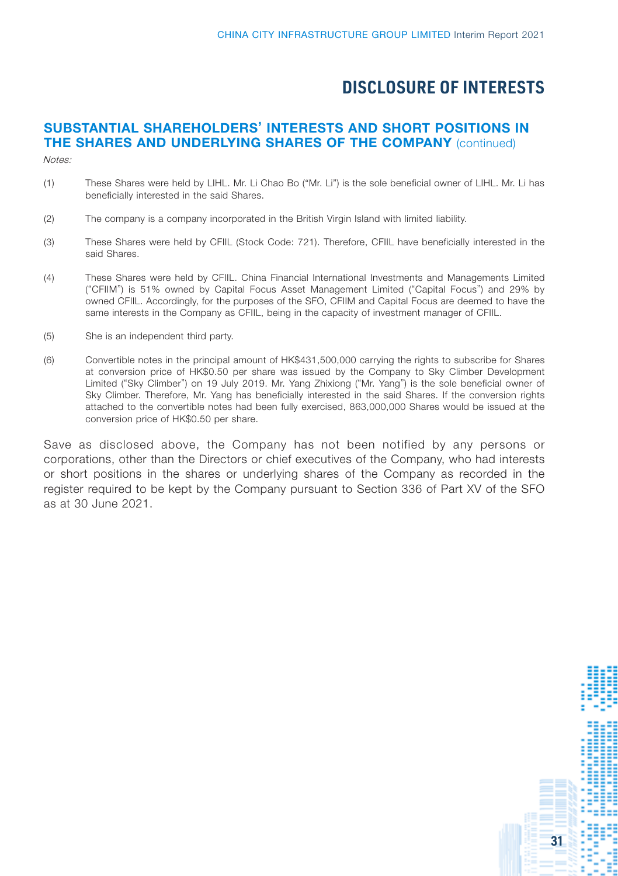# **DISCLOSURE OF INTERESTS**

# SUBSTANTIAL SHAREHOLDERS' INTERESTS AND SHORT POSITIONS IN THE SHARES AND UNDERLYING SHARES OF THE COMPANY (continued)

Notes:

- (1) These Shares were held by LIHL. Mr. Li Chao Bo ("Mr. Li") is the sole beneficial owner of LIHL. Mr. Li has beneficially interested in the said Shares.
- (2) The company is a company incorporated in the British Virgin Island with limited liability.
- (3) These Shares were held by CFIIL (Stock Code: 721). Therefore, CFIIL have beneficially interested in the said Shares.
- (4) These Shares were held by CFIIL. China Financial International Investments and Managements Limited ("CFIIM") is 51% owned by Capital Focus Asset Management Limited ("Capital Focus") and 29% by owned CFIIL. Accordingly, for the purposes of the SFO, CFIIM and Capital Focus are deemed to have the same interests in the Company as CFIIL, being in the capacity of investment manager of CFIIL.
- (5) She is an independent third party.
- (6) Convertible notes in the principal amount of HK\$431,500,000 carrying the rights to subscribe for Shares at conversion price of HK\$0.50 per share was issued by the Company to Sky Climber Development Limited ("Sky Climber") on 19 July 2019. Mr. Yang Zhixiong ("Mr. Yang") is the sole beneficial owner of Sky Climber. Therefore, Mr. Yang has beneficially interested in the said Shares. If the conversion rights attached to the convertible notes had been fully exercised, 863,000,000 Shares would be issued at the conversion price of HK\$0.50 per share.

Save as disclosed above, the Company has not been notified by any persons or corporations, other than the Directors or chief executives of the Company, who had interests or short positions in the shares or underlying shares of the Company as recorded in the register required to be kept by the Company pursuant to Section 336 of Part XV of the SFO as at 30 June 2021.

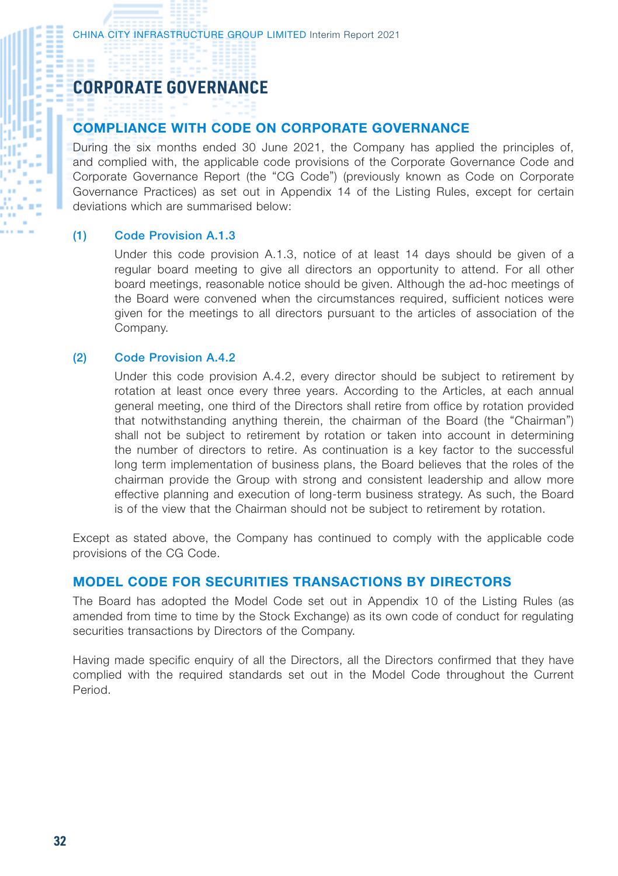# **CORPORATE GOVERNANCE CORPORATE GOVERNANCE**

### COMPLIANCE WITH CODE ON CORPORATE GOVERNANCE

During the six months ended 30 June 2021, the Company has applied the principles of, and complied with, the applicable code provisions of the Corporate Governance Code and Corporate Governance Report (the "CG Code") (previously known as Code on Corporate Governance Practices) as set out in Appendix 14 of the Listing Rules, except for certain deviations which are summarised below:

#### (1) Code Provision A.1.3

**CALL 1979** 

Under this code provision A.1.3, notice of at least 14 days should be given of a regular board meeting to give all directors an opportunity to attend. For all other board meetings, reasonable notice should be given. Although the ad-hoc meetings of the Board were convened when the circumstances required, sufficient notices were given for the meetings to all directors pursuant to the articles of association of the Company.

#### (2) Code Provision A.4.2

Under this code provision A.4.2, every director should be subject to retirement by rotation at least once every three years. According to the Articles, at each annual general meeting, one third of the Directors shall retire from office by rotation provided that notwithstanding anything therein, the chairman of the Board (the "Chairman") shall not be subject to retirement by rotation or taken into account in determining the number of directors to retire. As continuation is a key factor to the successful long term implementation of business plans, the Board believes that the roles of the chairman provide the Group with strong and consistent leadership and allow more effective planning and execution of long-term business strategy. As such, the Board is of the view that the Chairman should not be subject to retirement by rotation.

Except as stated above, the Company has continued to comply with the applicable code provisions of the CG Code.

#### MODEL CODE FOR SECURITIES TRANSACTIONS BY DIRECTORS

The Board has adopted the Model Code set out in Appendix 10 of the Listing Rules (as amended from time to time by the Stock Exchange) as its own code of conduct for regulating securities transactions by Directors of the Company.

Having made specific enquiry of all the Directors, all the Directors confirmed that they have complied with the required standards set out in the Model Code throughout the Current Period.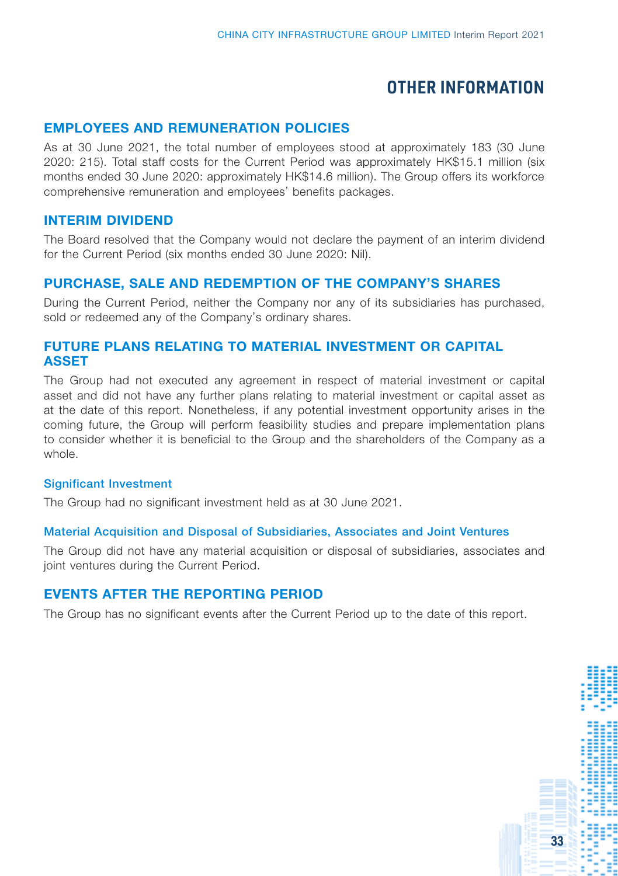# **OTHER INFORMATION**

#### EMPLOYEES AND REMUNERATION POLICIES

As at 30 June 2021, the total number of employees stood at approximately 183 (30 June 2020: 215). Total staff costs for the Current Period was approximately HK\$15.1 million (six months ended 30 June 2020: approximately HK\$14.6 million). The Group offers its workforce comprehensive remuneration and employees' benefits packages.

#### INTERIM DIVIDEND

The Board resolved that the Company would not declare the payment of an interim dividend for the Current Period (six months ended 30 June 2020: Nil).

### PURCHASE, SALE AND REDEMPTION OF THE COMPANY'S SHARES

During the Current Period, neither the Company nor any of its subsidiaries has purchased, sold or redeemed any of the Company's ordinary shares.

## FUTURE PLANS RELATING TO MATERIAL INVESTMENT OR CAPITAL ASSET

The Group had not executed any agreement in respect of material investment or capital asset and did not have any further plans relating to material investment or capital asset as at the date of this report. Nonetheless, if any potential investment opportunity arises in the coming future, the Group will perform feasibility studies and prepare implementation plans to consider whether it is beneficial to the Group and the shareholders of the Company as a whole.

#### Significant Investment

The Group had no significant investment held as at 30 June 2021.

#### Material Acquisition and Disposal of Subsidiaries, Associates and Joint Ventures

The Group did not have any material acquisition or disposal of subsidiaries, associates and joint ventures during the Current Period.

### EVENTS AFTER THE REPORTING PERIOD

The Group has no significant events after the Current Period up to the date of this report.